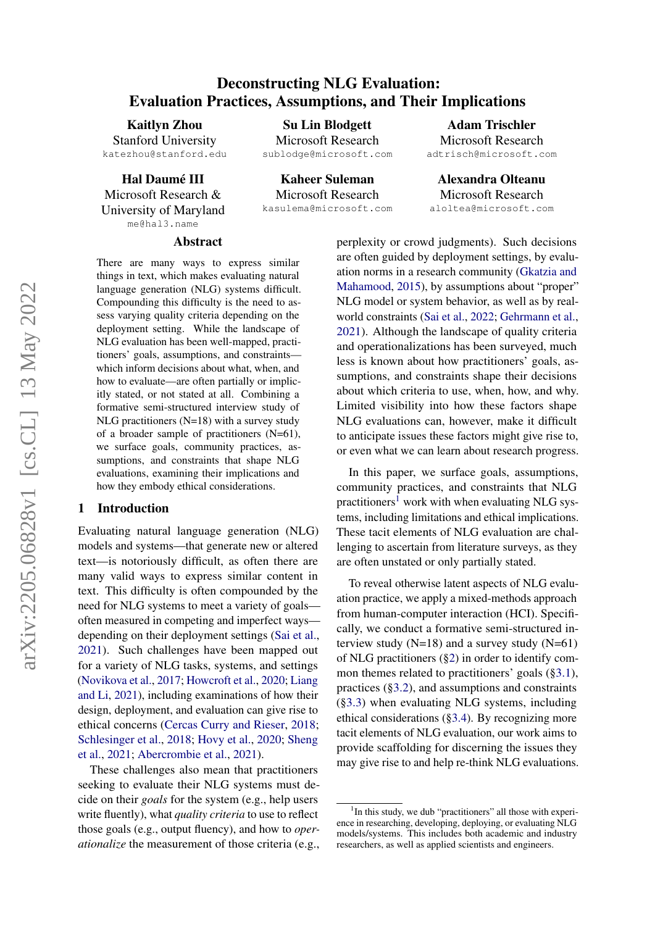## Deconstructing NLG Evaluation: Evaluation Practices, Assumptions, and Their Implications

Su Lin Blodgett

Kaitlyn Zhou Stanford University katezhou@stanford.edu

Hal Daumé III Microsoft Research & University of Maryland me@hal3.name

Microsoft Research sublodge@microsoft.com Kaheer Suleman

Microsoft Research kasulema@microsoft.com

Adam Trischler Microsoft Research adtrisch@microsoft.com

Alexandra Olteanu Microsoft Research aloltea@microsoft.com

#### Abstract

There are many ways to express similar things in text, which makes evaluating natural language generation (NLG) systems difficult. Compounding this difficulty is the need to assess varying quality criteria depending on the deployment setting. While the landscape of NLG evaluation has been well-mapped, practitioners' goals, assumptions, and constraints which inform decisions about what, when, and how to evaluate—are often partially or implicitly stated, or not stated at all. Combining a formative semi-structured interview study of NLG practitioners (N=18) with a survey study of a broader sample of practitioners (N=61), we surface goals, community practices, assumptions, and constraints that shape NLG evaluations, examining their implications and how they embody ethical considerations.

### 1 Introduction

Evaluating natural language generation (NLG) models and systems—that generate new or altered text—is notoriously difficult, as often there are many valid ways to express similar content in text. This difficulty is often compounded by the need for NLG systems to meet a variety of goals often measured in competing and imperfect ways depending on their deployment settings [\(Sai et al.,](#page-11-0) [2021\)](#page-11-0). Such challenges have been mapped out for a variety of NLG tasks, systems, and settings [\(Novikova et al.,](#page-10-0) [2017;](#page-10-0) [Howcroft et al.,](#page-10-1) [2020;](#page-10-1) [Liang](#page-10-2) [and Li,](#page-10-2) [2021\)](#page-10-2), including examinations of how their design, deployment, and evaluation can give rise to ethical concerns [\(Cercas Curry and Rieser,](#page-9-0) [2018;](#page-9-0) [Schlesinger et al.,](#page-11-1) [2018;](#page-11-1) [Hovy et al.,](#page-10-3) [2020;](#page-10-3) [Sheng](#page-11-2) [et al.,](#page-11-2) [2021;](#page-11-2) [Abercrombie et al.,](#page-9-1) [2021\)](#page-9-1).

These challenges also mean that practitioners seeking to evaluate their NLG systems must decide on their *goals* for the system (e.g., help users write fluently), what *quality criteria* to use to reflect those goals (e.g., output fluency), and how to *operationalize* the measurement of those criteria (e.g., perplexity or crowd judgments). Such decisions are often guided by deployment settings, by evaluation norms in a research community [\(Gkatzia and](#page-10-4) [Mahamood,](#page-10-4) [2015\)](#page-10-4), by assumptions about "proper" NLG model or system behavior, as well as by realworld constraints [\(Sai et al.,](#page-11-3) [2022;](#page-11-3) [Gehrmann et al.,](#page-10-5) [2021\)](#page-10-5). Although the landscape of quality criteria and operationalizations has been surveyed, much less is known about how practitioners' goals, assumptions, and constraints shape their decisions about which criteria to use, when, how, and why. Limited visibility into how these factors shape NLG evaluations can, however, make it difficult to anticipate issues these factors might give rise to, or even what we can learn about research progress.

In this paper, we surface goals, assumptions, community practices, and constraints that NLG practitioners<sup>[1](#page-0-0)</sup> work with when evaluating NLG systems, including limitations and ethical implications. These tacit elements of NLG evaluation are challenging to ascertain from literature surveys, as they are often unstated or only partially stated.

To reveal otherwise latent aspects of NLG evaluation practice, we apply a mixed-methods approach from human-computer interaction (HCI). Specifically, we conduct a formative semi-structured interview study  $(N=18)$  and a survey study  $(N=61)$ of NLG practitioners ([§2\)](#page-1-0) in order to identify common themes related to practitioners' goals ([§3.1\)](#page-2-0), practices ([§3.2\)](#page-3-0), and assumptions and constraints ([§3.3\)](#page-4-0) when evaluating NLG systems, including ethical considerations ([§3.4\)](#page-6-0). By recognizing more tacit elements of NLG evaluation, our work aims to provide scaffolding for discerning the issues they may give rise to and help re-think NLG evaluations.

<span id="page-0-0"></span><sup>&</sup>lt;sup>1</sup>In this study, we dub "practitioners" all those with experience in researching, developing, deploying, or evaluating NLG models/systems. This includes both academic and industry researchers, as well as applied scientists and engineers.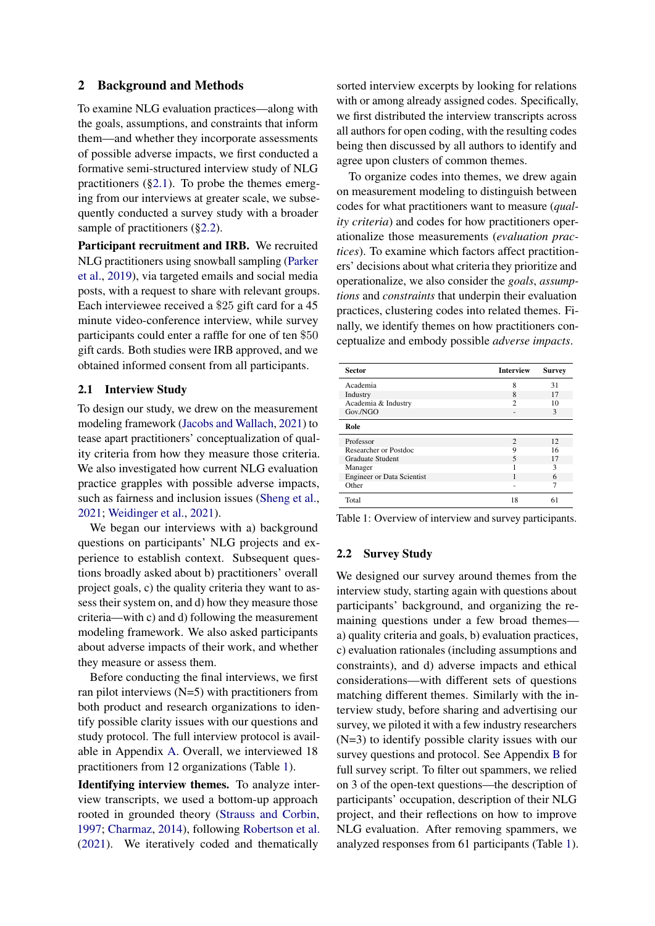### <span id="page-1-0"></span>2 Background and Methods

To examine NLG evaluation practices—along with the goals, assumptions, and constraints that inform them—and whether they incorporate assessments of possible adverse impacts, we first conducted a formative semi-structured interview study of NLG practitioners ([§2.1\)](#page-1-1). To probe the themes emerging from our interviews at greater scale, we subsequently conducted a survey study with a broader sample of practitioners ([§2.2\)](#page-1-2).

Participant recruitment and IRB. We recruited NLG practitioners using snowball sampling [\(Parker](#page-10-6) [et al.,](#page-10-6) [2019\)](#page-10-6), via targeted emails and social media posts, with a request to share with relevant groups. Each interviewee received a \$25 gift card for a 45 minute video-conference interview, while survey participants could enter a raffle for one of ten \$50 gift cards. Both studies were IRB approved, and we obtained informed consent from all participants.

### <span id="page-1-1"></span>2.1 Interview Study

To design our study, we drew on the measurement modeling framework [\(Jacobs and Wallach,](#page-10-7) [2021\)](#page-10-7) to tease apart practitioners' conceptualization of quality criteria from how they measure those criteria. We also investigated how current NLG evaluation practice grapples with possible adverse impacts, such as fairness and inclusion issues [\(Sheng et al.,](#page-11-2) [2021;](#page-11-2) [Weidinger et al.,](#page-11-4) [2021\)](#page-11-4).

We began our interviews with a) background questions on participants' NLG projects and experience to establish context. Subsequent questions broadly asked about b) practitioners' overall project goals, c) the quality criteria they want to assess their system on, and d) how they measure those criteria—with c) and d) following the measurement modeling framework. We also asked participants about adverse impacts of their work, and whether they measure or assess them.

Before conducting the final interviews, we first ran pilot interviews  $(N=5)$  with practitioners from both product and research organizations to identify possible clarity issues with our questions and study protocol. The full interview protocol is available in Appendix [A.](#page-12-0) Overall, we interviewed 18 practitioners from 12 organizations (Table [1\)](#page-1-3).

Identifying interview themes. To analyze interview transcripts, we used a bottom-up approach rooted in grounded theory [\(Strauss and Corbin,](#page-11-5) [1997;](#page-11-5) [Charmaz,](#page-9-2) [2014\)](#page-9-2), following [Robertson et al.](#page-11-6) [\(2021\)](#page-11-6). We iteratively coded and thematically

sorted interview excerpts by looking for relations with or among already assigned codes. Specifically, we first distributed the interview transcripts across all authors for open coding, with the resulting codes being then discussed by all authors to identify and agree upon clusters of common themes.

To organize codes into themes, we drew again on measurement modeling to distinguish between codes for what practitioners want to measure (*quality criteria*) and codes for how practitioners operationalize those measurements (*evaluation practices*). To examine which factors affect practitioners' decisions about what criteria they prioritize and operationalize, we also consider the *goals*, *assumptions* and *constraints* that underpin their evaluation practices, clustering codes into related themes. Finally, we identify themes on how practitioners conceptualize and embody possible *adverse impacts*.

<span id="page-1-3"></span>

| <b>Sector</b>                     | <b>Interview</b> | <b>Survey</b> |
|-----------------------------------|------------------|---------------|
| Academia                          | 8                | 31            |
| Industry                          | 8                | 17            |
| Academia & Industry               | $\mathfrak{D}$   | 10            |
| Gov./NGO                          | ٠                | $\mathcal{R}$ |
| Role                              |                  |               |
| Professor                         | $\mathfrak{D}$   | 12            |
| Researcher or Postdoc             | 9                | 16            |
| <b>Graduate Student</b>           | 5                | 17            |
| Manager                           |                  | 3             |
| <b>Engineer or Data Scientist</b> |                  | 6             |
| Other                             |                  | 7             |
| Total                             | 18               | 61            |

Table 1: Overview of interview and survey participants.

#### <span id="page-1-2"></span>2.2 Survey Study

We designed our survey around themes from the interview study, starting again with questions about participants' background, and organizing the remaining questions under a few broad themes a) quality criteria and goals, b) evaluation practices, c) evaluation rationales (including assumptions and constraints), and d) adverse impacts and ethical considerations—with different sets of questions matching different themes. Similarly with the interview study, before sharing and advertising our survey, we piloted it with a few industry researchers (N=3) to identify possible clarity issues with our survey questions and protocol. See Appendix [B](#page-13-0) for full survey script. To filter out spammers, we relied on 3 of the open-text questions—the description of participants' occupation, description of their NLG project, and their reflections on how to improve NLG evaluation. After removing spammers, we analyzed responses from 61 participants (Table [1\)](#page-1-3).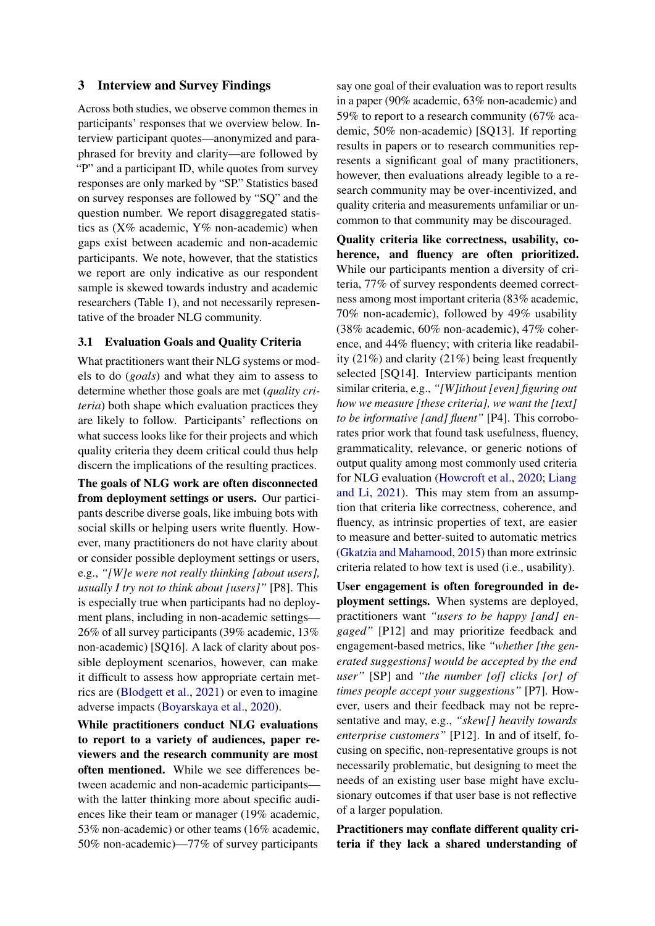### 3 Interview and Survey Findings

Across both studies, we observe common themes in participants' responses that we overview below. Interview participant quotes—anonymized and paraphrased for brevity and clarity—are followed by "P" and a participant ID, while quotes from survey" responses are only marked by "SP." Statistics based on survey responses are followed by "SQ" and the question number. We report disaggregated statistics as  $(X\%$  academic,  $Y\%$  non-academic) when gaps exist between academic and non-academic participants. We note, however, that the statistics we report are only indicative as our respondent sample is skewed towards industry and academic researchers (Table [1\)](#page-1-3), and not necessarily representative of the broader NLG community.

### <span id="page-2-0"></span>3.1 Evaluation Goals and Quality Criteria

What practitioners want their NLG systems or models to do (*goals*) and what they aim to assess to determine whether those goals are met (*quality criteria*) both shape which evaluation practices they are likely to follow. Participants' reflections on what success looks like for their projects and which quality criteria they deem critical could thus help discern the implications of the resulting practices.

The goals of NLG work are often disconnected from deployment settings or users. Our participants describe diverse goals, like imbuing bots with social skills or helping users write fluently. However, many practitioners do not have clarity about or consider possible deployment settings or users, e.g., *"[W]e were not really thinking [about users], usually I try not to think about [users]"* [P8]. This is especially true when participants had no deployment plans, including in non-academic settings— 26% of all survey participants (39% academic, 13% non-academic) [SQ16]. A lack of clarity about possible deployment scenarios, however, can make it difficult to assess how appropriate certain metrics are [\(Blodgett et al.,](#page-9-3) [2021\)](#page-9-3) or even to imagine adverse impacts [\(Boyarskaya et al.,](#page-9-4) [2020\)](#page-9-4).

While practitioners conduct NLG evaluations to report to a variety of audiences, paper reviewers and the research community are most often mentioned. While we see differences between academic and non-academic participants with the latter thinking more about specific audiences like their team or manager (19% academic, 53% non-academic) or other teams (16% academic, 50% non-academic)—77% of survey participants

say one goal of their evaluation was to report results in a paper (90% academic, 63% non-academic) and 59% to report to a research community (67% academic, 50% non-academic) [SQ13]. If reporting results in papers or to research communities represents a significant goal of many practitioners, however, then evaluations already legible to a research community may be over-incentivized, and quality criteria and measurements unfamiliar or uncommon to that community may be discouraged.

Quality criteria like correctness, usability, coherence, and fluency are often prioritized. While our participants mention a diversity of criteria, 77% of survey respondents deemed correctness among most important criteria (83% academic, 70% non-academic), followed by 49% usability (38% academic, 60% non-academic), 47% coherence, and 44% fluency; with criteria like readability (21%) and clarity (21%) being least frequently selected [SQ14]. Interview participants mention similar criteria, e.g., *"[W]ithout [even] figuring out how we measure [these criteria], we want the [text] to be informative [and] fluent"* [P4]. This corroborates prior work that found task usefulness, fluency, grammaticality, relevance, or generic notions of output quality among most commonly used criteria for NLG evaluation [\(Howcroft et al.,](#page-10-1) [2020;](#page-10-1) [Liang](#page-10-2) [and Li,](#page-10-2) [2021\)](#page-10-2). This may stem from an assumption that criteria like correctness, coherence, and fluency, as intrinsic properties of text, are easier to measure and better-suited to automatic metrics [\(Gkatzia and Mahamood,](#page-10-4) [2015\)](#page-10-4) than more extrinsic criteria related to how text is used (i.e., usability).

User engagement is often foregrounded in deployment settings. When systems are deployed, practitioners want *"users to be happy [and] engaged"* [P12] and may prioritize feedback and engagement-based metrics, like *"whether [the generated suggestions] would be accepted by the end user"* [SP] and *"the number [of] clicks [or] of times people accept your suggestions"* [P7]. However, users and their feedback may not be representative and may, e.g., *"skew[] heavily towards enterprise customers"* [P12]. In and of itself, focusing on specific, non-representative groups is not necessarily problematic, but designing to meet the needs of an existing user base might have exclusionary outcomes if that user base is not reflective of a larger population.

Practitioners may conflate different quality criteria if they lack a shared understanding of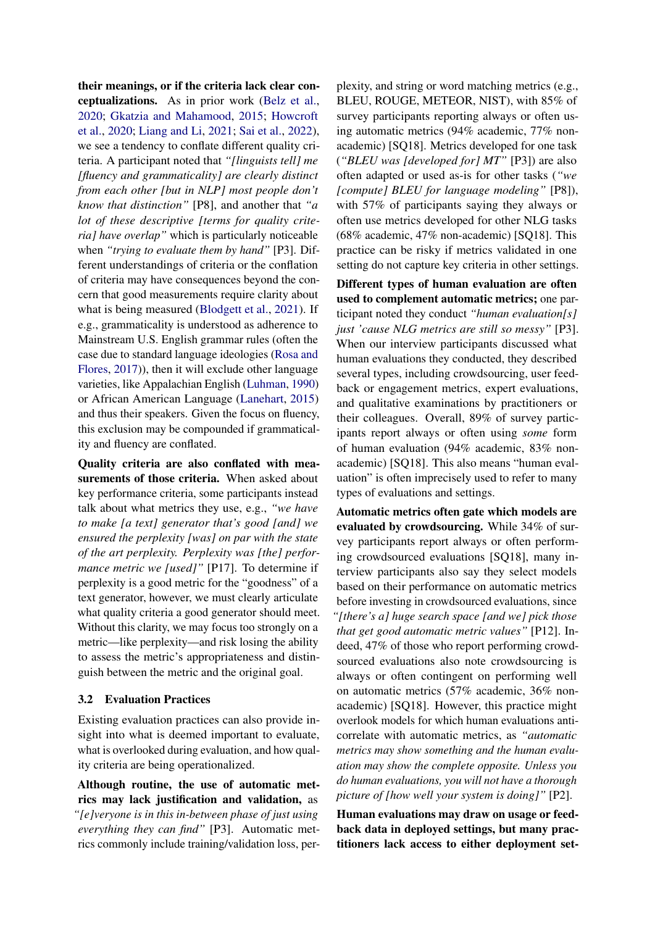their meanings, or if the criteria lack clear conceptualizations. As in prior work [\(Belz et al.,](#page-9-5) [2020;](#page-9-5) [Gkatzia and Mahamood,](#page-10-4) [2015;](#page-10-4) [Howcroft](#page-10-1) [et al.,](#page-10-1) [2020;](#page-10-1) [Liang and Li,](#page-10-2) [2021;](#page-10-2) [Sai et al.,](#page-11-3) [2022\)](#page-11-3), we see a tendency to conflate different quality criteria. A participant noted that *"[linguists tell] me [fluency and grammaticality] are clearly distinct from each other [but in NLP] most people don't know that distinction"* [P8], and another that *"a lot of these descriptive [terms for quality criteria] have overlap"* which is particularly noticeable when *"trying to evaluate them by hand"* [P3]. Different understandings of criteria or the conflation of criteria may have consequences beyond the concern that good measurements require clarity about what is being measured [\(Blodgett et al.,](#page-9-3) [2021\)](#page-9-3). If e.g., grammaticality is understood as adherence to Mainstream U.S. English grammar rules (often the case due to standard language ideologies [\(Rosa and](#page-11-7) [Flores,](#page-11-7) [2017\)](#page-11-7)), then it will exclude other language varieties, like Appalachian English [\(Luhman,](#page-10-8) [1990\)](#page-10-8) or African American Language [\(Lanehart,](#page-10-9) [2015\)](#page-10-9) and thus their speakers. Given the focus on fluency, this exclusion may be compounded if grammaticality and fluency are conflated.

Quality criteria are also conflated with measurements of those criteria. When asked about key performance criteria, some participants instead talk about what metrics they use, e.g., *"we have to make [a text] generator that's good [and] we ensured the perplexity [was] on par with the state of the art perplexity. Perplexity was [the] performance metric we [used]"* [P17]. To determine if perplexity is a good metric for the "goodness" of a text generator, however, we must clearly articulate what quality criteria a good generator should meet. Without this clarity, we may focus too strongly on a metric—like perplexity—and risk losing the ability to assess the metric's appropriateness and distinguish between the metric and the original goal.

### <span id="page-3-0"></span>3.2 Evaluation Practices

Existing evaluation practices can also provide insight into what is deemed important to evaluate, what is overlooked during evaluation, and how quality criteria are being operationalized.

Although routine, the use of automatic metrics may lack justification and validation, as *"[e]veryone is in this in-between phase of just using everything they can find"* [P3]. Automatic metrics commonly include training/validation loss, perplexity, and string or word matching metrics (e.g., BLEU, ROUGE, METEOR, NIST), with 85% of survey participants reporting always or often using automatic metrics (94% academic, 77% nonacademic) [SQ18]. Metrics developed for one task (*"BLEU was [developed for] MT"* [P3]) are also often adapted or used as-is for other tasks (*"we [compute] BLEU for language modeling"* [P8]), with 57% of participants saying they always or often use metrics developed for other NLG tasks (68% academic, 47% non-academic) [SQ18]. This practice can be risky if metrics validated in one setting do not capture key criteria in other settings.

Different types of human evaluation are often used to complement automatic metrics; one participant noted they conduct *"human evaluation[s] just 'cause NLG metrics are still so messy"* [P3]. When our interview participants discussed what human evaluations they conducted, they described several types, including crowdsourcing, user feedback or engagement metrics, expert evaluations, and qualitative examinations by practitioners or their colleagues. Overall, 89% of survey participants report always or often using *some* form of human evaluation (94% academic, 83% nonacademic) [SQ18]. This also means "human evaluation" is often imprecisely used to refer to many types of evaluations and settings.

Automatic metrics often gate which models are evaluated by crowdsourcing. While 34% of survey participants report always or often performing crowdsourced evaluations [SQ18], many interview participants also say they select models based on their performance on automatic metrics before investing in crowdsourced evaluations, since *"[there's a] huge search space [and we] pick those that get good automatic metric values"* [P12]. Indeed, 47% of those who report performing crowdsourced evaluations also note crowdsourcing is always or often contingent on performing well on automatic metrics (57% academic, 36% nonacademic) [SQ18]. However, this practice might overlook models for which human evaluations anticorrelate with automatic metrics, as *"automatic metrics may show something and the human evaluation may show the complete opposite. Unless you do human evaluations, you will not have a thorough picture of [how well your system is doing]"* [P2].

Human evaluations may draw on usage or feedback data in deployed settings, but many practitioners lack access to either deployment set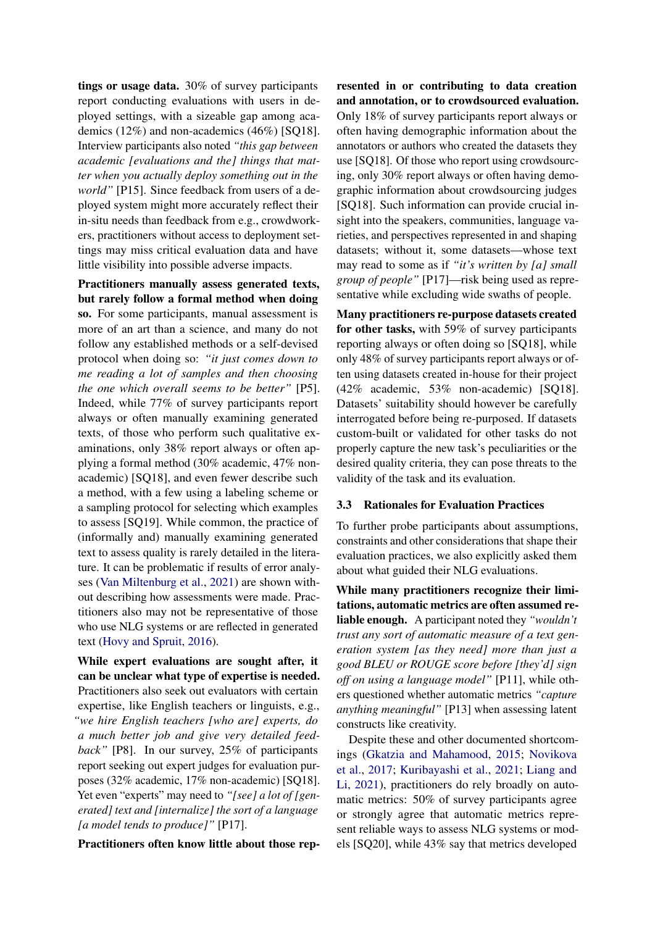tings or usage data. 30% of survey participants report conducting evaluations with users in deployed settings, with a sizeable gap among academics (12%) and non-academics (46%) [SQ18]. Interview participants also noted *"this gap between academic [evaluations and the] things that matter when you actually deploy something out in the world"* [P15]. Since feedback from users of a deployed system might more accurately reflect their in-situ needs than feedback from e.g., crowdworkers, practitioners without access to deployment settings may miss critical evaluation data and have little visibility into possible adverse impacts.

Practitioners manually assess generated texts, but rarely follow a formal method when doing so. For some participants, manual assessment is more of an art than a science, and many do not follow any established methods or a self-devised protocol when doing so: *"it just comes down to me reading a lot of samples and then choosing the one which overall seems to be better"* [P5]. Indeed, while 77% of survey participants report always or often manually examining generated texts, of those who perform such qualitative examinations, only 38% report always or often applying a formal method (30% academic, 47% nonacademic) [SQ18], and even fewer describe such a method, with a few using a labeling scheme or a sampling protocol for selecting which examples to assess [SQ19]. While common, the practice of (informally and) manually examining generated text to assess quality is rarely detailed in the literature. It can be problematic if results of error analyses [\(Van Miltenburg et al.,](#page-11-8) [2021\)](#page-11-8) are shown without describing how assessments were made. Practitioners also may not be representative of those who use NLG systems or are reflected in generated text [\(Hovy and Spruit,](#page-10-10) [2016\)](#page-10-10).

While expert evaluations are sought after, it can be unclear what type of expertise is needed. Practitioners also seek out evaluators with certain expertise, like English teachers or linguists, e.g., *"we hire English teachers [who are] experts, do a much better job and give very detailed feedback"* [P8]. In our survey, 25% of participants report seeking out expert judges for evaluation purposes (32% academic, 17% non-academic) [SQ18]. Yet even "experts" may need to *"[see] a lot of [generated] text and [internalize] the sort of a language [a model tends to produce]"* [P17].

Practitioners often know little about those rep-

resented in or contributing to data creation and annotation, or to crowdsourced evaluation. Only 18% of survey participants report always or often having demographic information about the annotators or authors who created the datasets they use [SQ18]. Of those who report using crowdsourcing, only 30% report always or often having demographic information about crowdsourcing judges [SQ18]. Such information can provide crucial insight into the speakers, communities, language varieties, and perspectives represented in and shaping datasets; without it, some datasets—whose text may read to some as if *"it's written by [a] small group of people"* [P17]—risk being used as representative while excluding wide swaths of people.

Many practitioners re-purpose datasets created for other tasks, with 59% of survey participants reporting always or often doing so [SQ18], while only 48% of survey participants report always or often using datasets created in-house for their project (42% academic, 53% non-academic) [SQ18]. Datasets' suitability should however be carefully interrogated before being re-purposed. If datasets custom-built or validated for other tasks do not properly capture the new task's peculiarities or the desired quality criteria, they can pose threats to the validity of the task and its evaluation.

#### <span id="page-4-0"></span>3.3 Rationales for Evaluation Practices

To further probe participants about assumptions, constraints and other considerations that shape their evaluation practices, we also explicitly asked them about what guided their NLG evaluations.

While many practitioners recognize their limitations, automatic metrics are often assumed reliable enough. A participant noted they *"wouldn't trust any sort of automatic measure of a text generation system [as they need] more than just a good BLEU or ROUGE score before [they'd] sign off on using a language model"* [P11], while others questioned whether automatic metrics *"capture anything meaningful"* [P13] when assessing latent constructs like creativity.

Despite these and other documented shortcomings [\(Gkatzia and Mahamood,](#page-10-4) [2015;](#page-10-4) [Novikova](#page-10-0) [et al.,](#page-10-0) [2017;](#page-10-0) [Kuribayashi et al.,](#page-10-11) [2021;](#page-10-11) [Liang and](#page-10-2) [Li,](#page-10-2) [2021\)](#page-10-2), practitioners do rely broadly on automatic metrics: 50% of survey participants agree or strongly agree that automatic metrics represent reliable ways to assess NLG systems or models [SQ20], while 43% say that metrics developed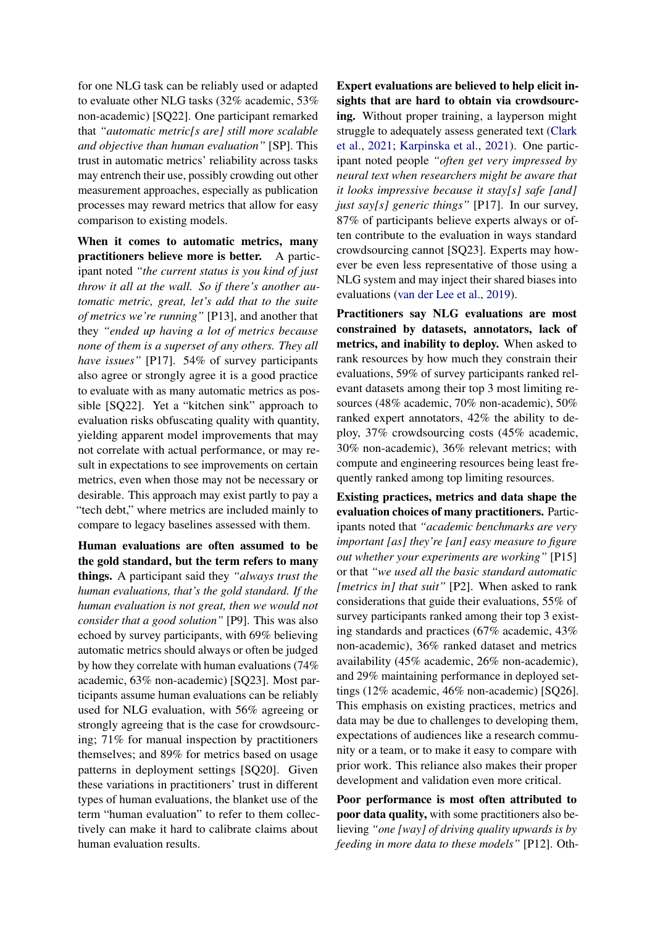for one NLG task can be reliably used or adapted to evaluate other NLG tasks (32% academic, 53% non-academic) [SQ22]. One participant remarked that *"automatic metric[s are] still more scalable and objective than human evaluation"* [SP]. This trust in automatic metrics' reliability across tasks may entrench their use, possibly crowding out other measurement approaches, especially as publication processes may reward metrics that allow for easy comparison to existing models.

When it comes to automatic metrics, many practitioners believe more is better. A participant noted *"the current status is you kind of just throw it all at the wall. So if there's another automatic metric, great, let's add that to the suite of metrics we're running"* [P13], and another that they *"ended up having a lot of metrics because none of them is a superset of any others. They all have issues"* [P17]. 54% of survey participants also agree or strongly agree it is a good practice to evaluate with as many automatic metrics as possible [SQ22]. Yet a "kitchen sink" approach to evaluation risks obfuscating quality with quantity, yielding apparent model improvements that may not correlate with actual performance, or may result in expectations to see improvements on certain metrics, even when those may not be necessary or desirable. This approach may exist partly to pay a "tech debt," where metrics are included mainly to compare to legacy baselines assessed with them.

Human evaluations are often assumed to be the gold standard, but the term refers to many things. A participant said they *"always trust the human evaluations, that's the gold standard. If the human evaluation is not great, then we would not consider that a good solution"* [P9]. This was also echoed by survey participants, with 69% believing automatic metrics should always or often be judged by how they correlate with human evaluations (74% academic, 63% non-academic) [SQ23]. Most participants assume human evaluations can be reliably used for NLG evaluation, with 56% agreeing or strongly agreeing that is the case for crowdsourcing; 71% for manual inspection by practitioners themselves; and 89% for metrics based on usage patterns in deployment settings [SQ20]. Given these variations in practitioners' trust in different types of human evaluations, the blanket use of the term "human evaluation" to refer to them collectively can make it hard to calibrate claims about human evaluation results.

Expert evaluations are believed to help elicit insights that are hard to obtain via crowdsourcing. Without proper training, a layperson might struggle to adequately assess generated text [\(Clark](#page-9-6) [et al.,](#page-9-6) [2021;](#page-9-6) [Karpinska et al.,](#page-10-12) [2021\)](#page-10-12). One participant noted people *"often get very impressed by neural text when researchers might be aware that it looks impressive because it stay[s] safe [and] just say[s] generic things"* [P17]. In our survey, 87% of participants believe experts always or often contribute to the evaluation in ways standard crowdsourcing cannot [SQ23]. Experts may however be even less representative of those using a NLG system and may inject their shared biases into evaluations [\(van der Lee et al.,](#page-10-13) [2019\)](#page-10-13).

Practitioners say NLG evaluations are most constrained by datasets, annotators, lack of metrics, and inability to deploy. When asked to rank resources by how much they constrain their evaluations, 59% of survey participants ranked relevant datasets among their top 3 most limiting resources (48% academic, 70% non-academic), 50% ranked expert annotators, 42% the ability to deploy, 37% crowdsourcing costs (45% academic, 30% non-academic), 36% relevant metrics; with compute and engineering resources being least frequently ranked among top limiting resources.

Existing practices, metrics and data shape the evaluation choices of many practitioners. Participants noted that *"academic benchmarks are very important [as] they're [an] easy measure to figure out whether your experiments are working"* [P15] or that *"we used all the basic standard automatic [metrics in] that suit"* [P2]. When asked to rank considerations that guide their evaluations, 55% of survey participants ranked among their top 3 existing standards and practices (67% academic, 43% non-academic), 36% ranked dataset and metrics availability (45% academic, 26% non-academic), and 29% maintaining performance in deployed settings (12% academic, 46% non-academic) [SQ26]. This emphasis on existing practices, metrics and data may be due to challenges to developing them, expectations of audiences like a research community or a team, or to make it easy to compare with prior work. This reliance also makes their proper development and validation even more critical.

Poor performance is most often attributed to poor data quality, with some practitioners also believing *"one [way] of driving quality upwards is by feeding in more data to these models"* [P12]. Oth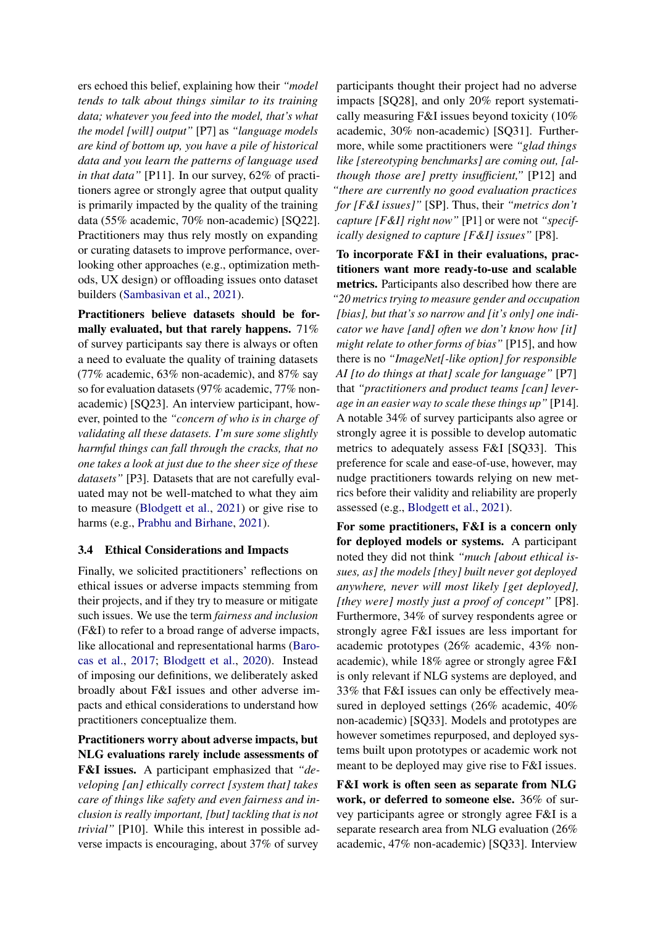ers echoed this belief, explaining how their *"model tends to talk about things similar to its training data; whatever you feed into the model, that's what the model [will] output"* [P7] as *"language models are kind of bottom up, you have a pile of historical data and you learn the patterns of language used in that data"* [P11]. In our survey, 62% of practitioners agree or strongly agree that output quality is primarily impacted by the quality of the training data (55% academic, 70% non-academic) [SQ22]. Practitioners may thus rely mostly on expanding or curating datasets to improve performance, overlooking other approaches (e.g., optimization methods, UX design) or offloading issues onto dataset builders [\(Sambasivan et al.,](#page-11-9) [2021\)](#page-11-9).

Practitioners believe datasets should be formally evaluated, but that rarely happens. 71% of survey participants say there is always or often a need to evaluate the quality of training datasets (77% academic, 63% non-academic), and 87% say so for evaluation datasets (97% academic, 77% nonacademic) [SQ23]. An interview participant, however, pointed to the *"concern of who is in charge of validating all these datasets. I'm sure some slightly harmful things can fall through the cracks, that no one takes a look at just due to the sheer size of these datasets"* [P3]. Datasets that are not carefully evaluated may not be well-matched to what they aim to measure [\(Blodgett et al.,](#page-9-3) [2021\)](#page-9-3) or give rise to harms (e.g., [Prabhu and Birhane,](#page-10-14) [2021\)](#page-10-14).

### <span id="page-6-0"></span>3.4 Ethical Considerations and Impacts

Finally, we solicited practitioners' reflections on ethical issues or adverse impacts stemming from their projects, and if they try to measure or mitigate such issues. We use the term *fairness and inclusion* (F&I) to refer to a broad range of adverse impacts, like allocational and representational harms [\(Baro](#page-9-7)[cas et al.,](#page-9-7) [2017;](#page-9-7) [Blodgett et al.,](#page-9-8) [2020\)](#page-9-8). Instead of imposing our definitions, we deliberately asked broadly about F&I issues and other adverse impacts and ethical considerations to understand how practitioners conceptualize them.

Practitioners worry about adverse impacts, but NLG evaluations rarely include assessments of F&I issues. A participant emphasized that *"developing [an] ethically correct [system that] takes care of things like safety and even fairness and inclusion is really important, [but] tackling that is not trivial"* [P10]. While this interest in possible adverse impacts is encouraging, about 37% of survey

participants thought their project had no adverse impacts [SQ28], and only 20% report systematically measuring F&I issues beyond toxicity (10% academic, 30% non-academic) [SQ31]. Furthermore, while some practitioners were *"glad things like [stereotyping benchmarks] are coming out, [although those are] pretty insufficient,"* [P12] and *"there are currently no good evaluation practices for [F&I issues]"* [SP]. Thus, their *"metrics don't capture [F&I] right now"* [P1] or were not *"specifically designed to capture [F&I] issues"* [P8].

To incorporate F&I in their evaluations, practitioners want more ready-to-use and scalable metrics. Participants also described how there are *"20 metrics trying to measure gender and occupation [bias], but that's so narrow and [it's only] one indicator we have [and] often we don't know how [it] might relate to other forms of bias"* [P15], and how there is no *"ImageNet[-like option] for responsible AI [to do things at that] scale for language"* [P7] that *"practitioners and product teams [can] leverage in an easier way to scale these things up"* [P14]. A notable 34% of survey participants also agree or strongly agree it is possible to develop automatic metrics to adequately assess F&I [SQ33]. This preference for scale and ease-of-use, however, may nudge practitioners towards relying on new metrics before their validity and reliability are properly assessed (e.g., [Blodgett et al.,](#page-9-3) [2021\)](#page-9-3).

For some practitioners, F&I is a concern only for deployed models or systems. A participant noted they did not think *"much [about ethical issues, as] the models [they] built never got deployed anywhere, never will most likely [get deployed], [they were] mostly just a proof of concept"* [P8]. Furthermore, 34% of survey respondents agree or strongly agree F&I issues are less important for academic prototypes (26% academic, 43% nonacademic), while 18% agree or strongly agree F&I is only relevant if NLG systems are deployed, and 33% that F&I issues can only be effectively measured in deployed settings (26% academic, 40% non-academic) [SQ33]. Models and prototypes are however sometimes repurposed, and deployed systems built upon prototypes or academic work not meant to be deployed may give rise to F&I issues.

F&I work is often seen as separate from NLG work, or deferred to someone else. 36% of survey participants agree or strongly agree F&I is a separate research area from NLG evaluation (26% academic, 47% non-academic) [SQ33]. Interview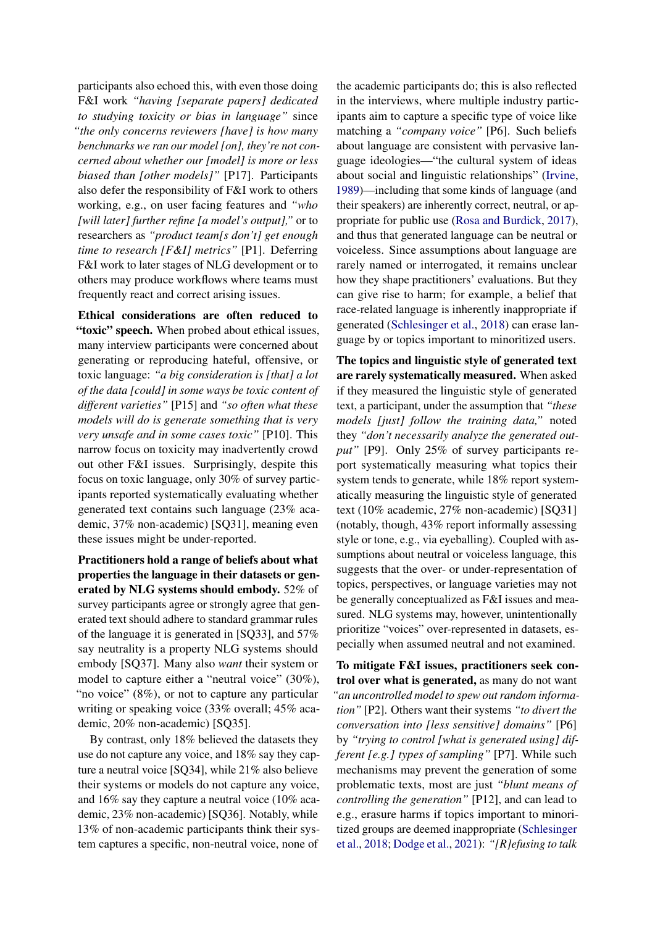participants also echoed this, with even those doing F&I work *"having [separate papers] dedicated to studying toxicity or bias in language"* since *"the only concerns reviewers [have] is how many benchmarks we ran our model [on], they're not concerned about whether our [model] is more or less biased than [other models]"* [P17]. Participants also defer the responsibility of F&I work to others working, e.g., on user facing features and *"who [will later] further refine [a model's output],"* or to researchers as *"product team[s don't] get enough time to research [F&I] metrics"* [P1]. Deferring F&I work to later stages of NLG development or to others may produce workflows where teams must frequently react and correct arising issues.

Ethical considerations are often reduced to "toxic" speech. When probed about ethical issues, many interview participants were concerned about generating or reproducing hateful, offensive, or toxic language: *"a big consideration is [that] a lot of the data [could] in some ways be toxic content of different varieties"* [P15] and *"so often what these models will do is generate something that is very very unsafe and in some cases toxic"* [P10]. This narrow focus on toxicity may inadvertently crowd out other F&I issues. Surprisingly, despite this focus on toxic language, only 30% of survey participants reported systematically evaluating whether generated text contains such language (23% academic, 37% non-academic) [SQ31], meaning even these issues might be under-reported.

Practitioners hold a range of beliefs about what properties the language in their datasets or generated by NLG systems should embody. 52% of survey participants agree or strongly agree that generated text should adhere to standard grammar rules of the language it is generated in [SQ33], and 57% say neutrality is a property NLG systems should embody [SQ37]. Many also *want* their system or model to capture either a "neutral voice" (30%), "no voice" (8%), or not to capture any particular writing or speaking voice (33% overall; 45% academic, 20% non-academic) [SQ35].

By contrast, only 18% believed the datasets they use do not capture any voice, and 18% say they capture a neutral voice [SQ34], while 21% also believe their systems or models do not capture any voice, and 16% say they capture a neutral voice (10% academic, 23% non-academic) [SQ36]. Notably, while 13% of non-academic participants think their system captures a specific, non-neutral voice, none of the academic participants do; this is also reflected in the interviews, where multiple industry participants aim to capture a specific type of voice like matching a *"company voice"* [P6]. Such beliefs about language are consistent with pervasive language ideologies—"the cultural system of ideas about social and linguistic relationships" [\(Irvine,](#page-10-15) [1989\)](#page-10-15)—including that some kinds of language (and their speakers) are inherently correct, neutral, or appropriate for public use [\(Rosa and Burdick,](#page-11-10) [2017\)](#page-11-10), and thus that generated language can be neutral or voiceless. Since assumptions about language are rarely named or interrogated, it remains unclear how they shape practitioners' evaluations. But they can give rise to harm; for example, a belief that race-related language is inherently inappropriate if generated [\(Schlesinger et al.,](#page-11-1) [2018\)](#page-11-1) can erase language by or topics important to minoritized users.

The topics and linguistic style of generated text are rarely systematically measured. When asked if they measured the linguistic style of generated text, a participant, under the assumption that *"these models [just] follow the training data,"* noted they *"don't necessarily analyze the generated output"* [P9]. Only 25% of survey participants report systematically measuring what topics their system tends to generate, while 18% report systematically measuring the linguistic style of generated text (10% academic, 27% non-academic) [SQ31] (notably, though, 43% report informally assessing style or tone, e.g., via eyeballing). Coupled with assumptions about neutral or voiceless language, this suggests that the over- or under-representation of topics, perspectives, or language varieties may not be generally conceptualized as F&I issues and measured. NLG systems may, however, unintentionally prioritize "voices" over-represented in datasets, especially when assumed neutral and not examined.

To mitigate F&I issues, practitioners seek control over what is generated, as many do not want *"an uncontrolled model to spew out random information"* [P2]. Others want their systems *"to divert the conversation into [less sensitive] domains"* [P6] by *"trying to control [what is generated using] different [e.g.] types of sampling"* [P7]. While such mechanisms may prevent the generation of some problematic texts, most are just *"blunt means of controlling the generation"* [P12], and can lead to e.g., erasure harms if topics important to minoritized groups are deemed inappropriate [\(Schlesinger](#page-11-1) [et al.,](#page-11-1) [2018;](#page-11-1) [Dodge et al.,](#page-9-9) [2021\)](#page-9-9): *"[R]efusing to talk*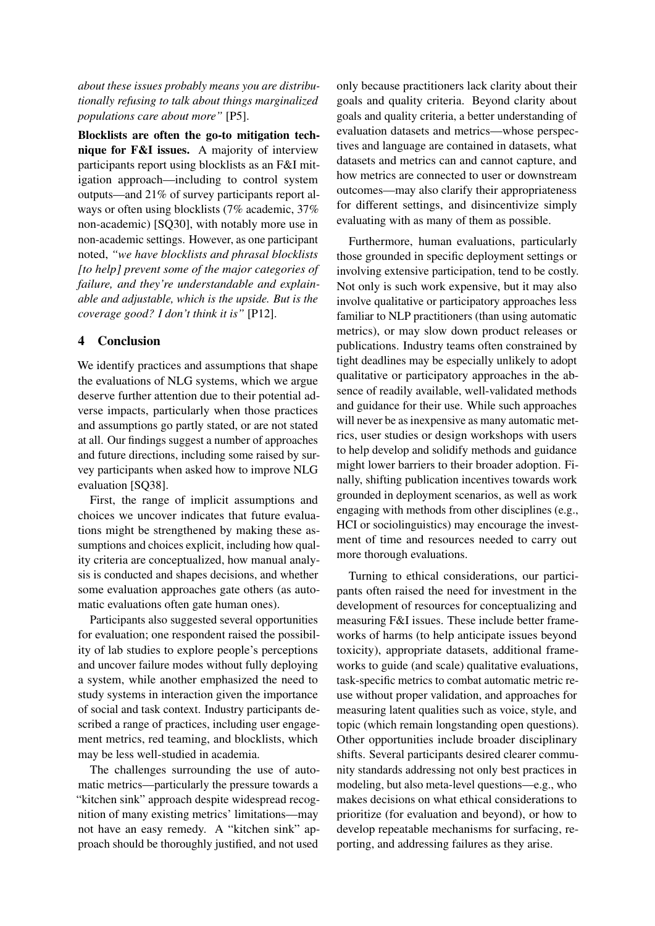*about these issues probably means you are distributionally refusing to talk about things marginalized populations care about more"* [P5].

Blocklists are often the go-to mitigation technique for F&I issues. A majority of interview participants report using blocklists as an F&I mitigation approach—including to control system outputs—and 21% of survey participants report always or often using blocklists (7% academic, 37% non-academic) [SQ30], with notably more use in non-academic settings. However, as one participant noted, *"we have blocklists and phrasal blocklists [to help] prevent some of the major categories of failure, and they're understandable and explainable and adjustable, which is the upside. But is the coverage good? I don't think it is"* [P12].

### 4 Conclusion

We identify practices and assumptions that shape the evaluations of NLG systems, which we argue deserve further attention due to their potential adverse impacts, particularly when those practices and assumptions go partly stated, or are not stated at all. Our findings suggest a number of approaches and future directions, including some raised by survey participants when asked how to improve NLG evaluation [SQ38].

First, the range of implicit assumptions and choices we uncover indicates that future evaluations might be strengthened by making these assumptions and choices explicit, including how quality criteria are conceptualized, how manual analysis is conducted and shapes decisions, and whether some evaluation approaches gate others (as automatic evaluations often gate human ones).

Participants also suggested several opportunities for evaluation; one respondent raised the possibility of lab studies to explore people's perceptions and uncover failure modes without fully deploying a system, while another emphasized the need to study systems in interaction given the importance of social and task context. Industry participants described a range of practices, including user engagement metrics, red teaming, and blocklists, which may be less well-studied in academia.

The challenges surrounding the use of automatic metrics—particularly the pressure towards a "kitchen sink" approach despite widespread recognition of many existing metrics' limitations—may not have an easy remedy. A "kitchen sink" approach should be thoroughly justified, and not used

only because practitioners lack clarity about their goals and quality criteria. Beyond clarity about goals and quality criteria, a better understanding of evaluation datasets and metrics—whose perspectives and language are contained in datasets, what datasets and metrics can and cannot capture, and how metrics are connected to user or downstream outcomes—may also clarify their appropriateness for different settings, and disincentivize simply evaluating with as many of them as possible.

Furthermore, human evaluations, particularly those grounded in specific deployment settings or involving extensive participation, tend to be costly. Not only is such work expensive, but it may also involve qualitative or participatory approaches less familiar to NLP practitioners (than using automatic metrics), or may slow down product releases or publications. Industry teams often constrained by tight deadlines may be especially unlikely to adopt qualitative or participatory approaches in the absence of readily available, well-validated methods and guidance for their use. While such approaches will never be as inexpensive as many automatic metrics, user studies or design workshops with users to help develop and solidify methods and guidance might lower barriers to their broader adoption. Finally, shifting publication incentives towards work grounded in deployment scenarios, as well as work engaging with methods from other disciplines (e.g., HCI or sociolinguistics) may encourage the investment of time and resources needed to carry out more thorough evaluations.

Turning to ethical considerations, our participants often raised the need for investment in the development of resources for conceptualizing and measuring F&I issues. These include better frameworks of harms (to help anticipate issues beyond toxicity), appropriate datasets, additional frameworks to guide (and scale) qualitative evaluations, task-specific metrics to combat automatic metric reuse without proper validation, and approaches for measuring latent qualities such as voice, style, and topic (which remain longstanding open questions). Other opportunities include broader disciplinary shifts. Several participants desired clearer community standards addressing not only best practices in modeling, but also meta-level questions—e.g., who makes decisions on what ethical considerations to prioritize (for evaluation and beyond), or how to develop repeatable mechanisms for surfacing, reporting, and addressing failures as they arise.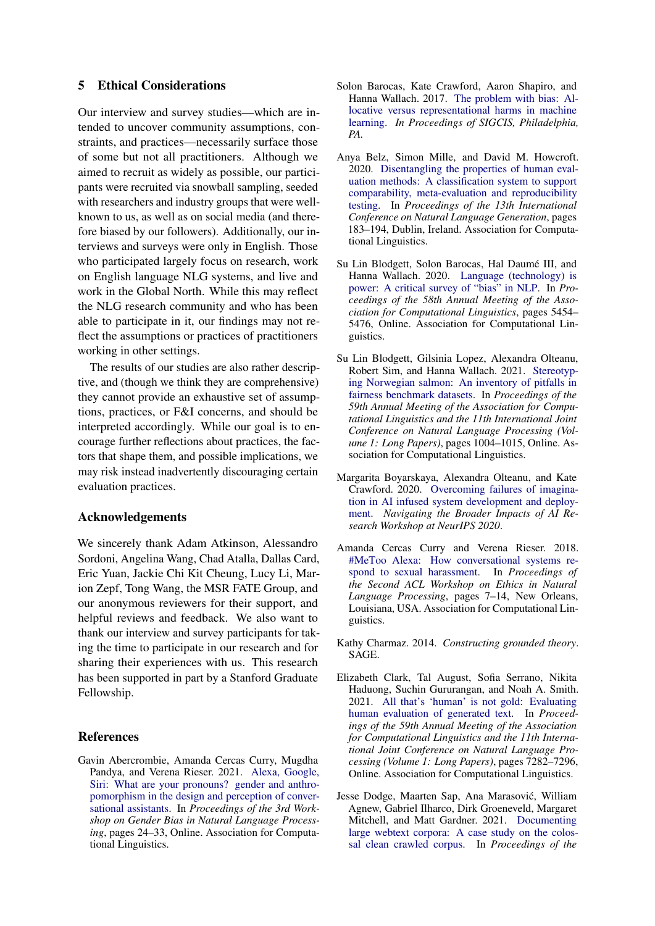### 5 Ethical Considerations

Our interview and survey studies—which are intended to uncover community assumptions, constraints, and practices—necessarily surface those of some but not all practitioners. Although we aimed to recruit as widely as possible, our participants were recruited via snowball sampling, seeded with researchers and industry groups that were wellknown to us, as well as on social media (and therefore biased by our followers). Additionally, our interviews and surveys were only in English. Those who participated largely focus on research, work on English language NLG systems, and live and work in the Global North. While this may reflect the NLG research community and who has been able to participate in it, our findings may not reflect the assumptions or practices of practitioners working in other settings.

The results of our studies are also rather descriptive, and (though we think they are comprehensive) they cannot provide an exhaustive set of assumptions, practices, or F&I concerns, and should be interpreted accordingly. While our goal is to encourage further reflections about practices, the factors that shape them, and possible implications, we may risk instead inadvertently discouraging certain evaluation practices.

### Acknowledgements

We sincerely thank Adam Atkinson, Alessandro Sordoni, Angelina Wang, Chad Atalla, Dallas Card, Eric Yuan, Jackie Chi Kit Cheung, Lucy Li, Marion Zepf, Tong Wang, the MSR FATE Group, and our anonymous reviewers for their support, and helpful reviews and feedback. We also want to thank our interview and survey participants for taking the time to participate in our research and for sharing their experiences with us. This research has been supported in part by a Stanford Graduate Fellowship.

### References

<span id="page-9-1"></span>Gavin Abercrombie, Amanda Cercas Curry, Mugdha Pandya, and Verena Rieser. 2021. [Alexa, Google,](https://doi.org/10.18653/v1/2021.gebnlp-1.4) [Siri: What are your pronouns? gender and anthro](https://doi.org/10.18653/v1/2021.gebnlp-1.4)[pomorphism in the design and perception of conver](https://doi.org/10.18653/v1/2021.gebnlp-1.4)[sational assistants.](https://doi.org/10.18653/v1/2021.gebnlp-1.4) In *Proceedings of the 3rd Workshop on Gender Bias in Natural Language Processing*, pages 24–33, Online. Association for Computational Linguistics.

- <span id="page-9-7"></span>Solon Barocas, Kate Crawford, Aaron Shapiro, and Hanna Wallach. 2017. [The problem with bias: Al](http://meetings.sigcis.org/uploads/6/3/6/8/6368912/program.pdf)[locative versus representational harms in machine](http://meetings.sigcis.org/uploads/6/3/6/8/6368912/program.pdf) [learning.](http://meetings.sigcis.org/uploads/6/3/6/8/6368912/program.pdf) *In Proceedings of SIGCIS, Philadelphia, PA.*
- <span id="page-9-5"></span>Anya Belz, Simon Mille, and David M. Howcroft. 2020. [Disentangling the properties of human eval](https://aclanthology.org/2020.inlg-1.24)[uation methods: A classification system to support](https://aclanthology.org/2020.inlg-1.24) [comparability, meta-evaluation and reproducibility](https://aclanthology.org/2020.inlg-1.24) [testing.](https://aclanthology.org/2020.inlg-1.24) In *Proceedings of the 13th International Conference on Natural Language Generation*, pages 183–194, Dublin, Ireland. Association for Computational Linguistics.
- <span id="page-9-8"></span>Su Lin Blodgett, Solon Barocas, Hal Daumé III, and Hanna Wallach. 2020. [Language \(technology\) is](https://doi.org/10.18653/v1/2020.acl-main.485) [power: A critical survey of "bias" in NLP.](https://doi.org/10.18653/v1/2020.acl-main.485) In *Proceedings of the 58th Annual Meeting of the Association for Computational Linguistics*, pages 5454– 5476, Online. Association for Computational Linguistics.
- <span id="page-9-3"></span>Su Lin Blodgett, Gilsinia Lopez, Alexandra Olteanu, Robert Sim, and Hanna Wallach. 2021. [Stereotyp](https://doi.org/10.18653/v1/2021.acl-long.81)[ing Norwegian salmon: An inventory of pitfalls in](https://doi.org/10.18653/v1/2021.acl-long.81) [fairness benchmark datasets.](https://doi.org/10.18653/v1/2021.acl-long.81) In *Proceedings of the 59th Annual Meeting of the Association for Computational Linguistics and the 11th International Joint Conference on Natural Language Processing (Volume 1: Long Papers)*, pages 1004–1015, Online. Association for Computational Linguistics.
- <span id="page-9-4"></span>Margarita Boyarskaya, Alexandra Olteanu, and Kate Crawford. 2020. [Overcoming failures of imagina](https://arxiv.org/pdf/2011.13416.pdf)[tion in AI infused system development and deploy](https://arxiv.org/pdf/2011.13416.pdf)[ment.](https://arxiv.org/pdf/2011.13416.pdf) *Navigating the Broader Impacts of AI Research Workshop at NeurIPS 2020*.
- <span id="page-9-0"></span>Amanda Cercas Curry and Verena Rieser. 2018. [#MeToo Alexa: How conversational systems re](https://doi.org/10.18653/v1/W18-0802)[spond to sexual harassment.](https://doi.org/10.18653/v1/W18-0802) In *Proceedings of the Second ACL Workshop on Ethics in Natural Language Processing*, pages 7–14, New Orleans, Louisiana, USA. Association for Computational Linguistics.
- <span id="page-9-2"></span>Kathy Charmaz. 2014. *Constructing grounded theory*. SAGE.
- <span id="page-9-6"></span>Elizabeth Clark, Tal August, Sofia Serrano, Nikita Haduong, Suchin Gururangan, and Noah A. Smith. 2021. [All that's 'human' is not gold: Evaluating](https://doi.org/10.18653/v1/2021.acl-long.565) [human evaluation of generated text.](https://doi.org/10.18653/v1/2021.acl-long.565) In *Proceedings of the 59th Annual Meeting of the Association for Computational Linguistics and the 11th International Joint Conference on Natural Language Processing (Volume 1: Long Papers)*, pages 7282–7296, Online. Association for Computational Linguistics.
- <span id="page-9-9"></span>Jesse Dodge, Maarten Sap, Ana Marasović, William Agnew, Gabriel Ilharco, Dirk Groeneveld, Margaret Mitchell, and Matt Gardner. 2021. [Documenting](https://doi.org/10.18653/v1/2021.emnlp-main.98) [large webtext corpora: A case study on the colos](https://doi.org/10.18653/v1/2021.emnlp-main.98)[sal clean crawled corpus.](https://doi.org/10.18653/v1/2021.emnlp-main.98) In *Proceedings of the*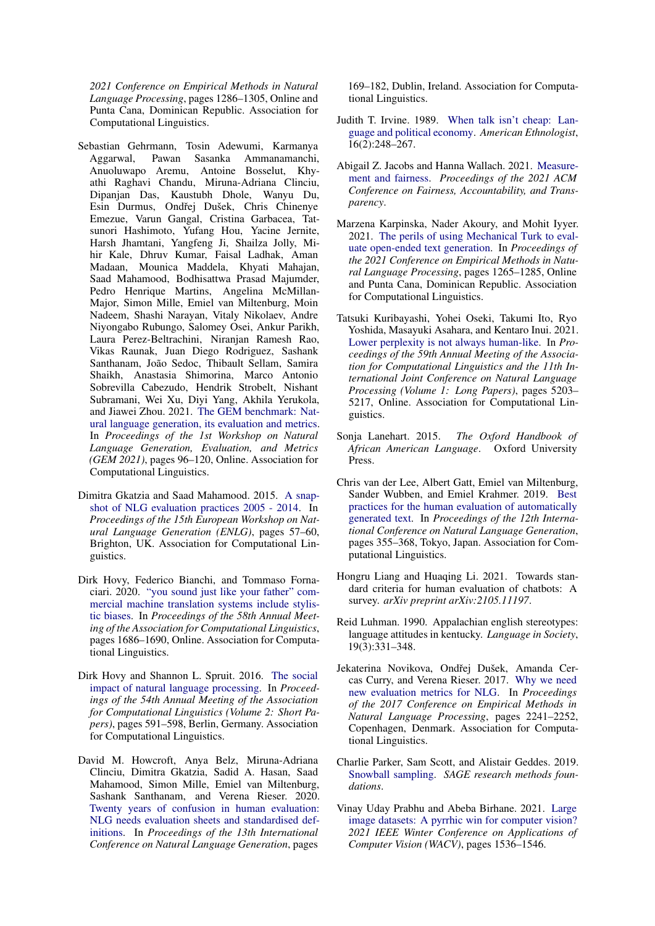*2021 Conference on Empirical Methods in Natural Language Processing*, pages 1286–1305, Online and Punta Cana, Dominican Republic. Association for Computational Linguistics.

<span id="page-10-5"></span>Sebastian Gehrmann, Tosin Adewumi, Karmanya Aggarwal, Pawan Sasanka Ammanamanchi, Anuoluwapo Aremu, Antoine Bosselut, Khyathi Raghavi Chandu, Miruna-Adriana Clinciu, Dipanjan Das, Kaustubh Dhole, Wanyu Du, Esin Durmus, Ondřej Dušek, Chris Chinenye Emezue, Varun Gangal, Cristina Garbacea, Tatsunori Hashimoto, Yufang Hou, Yacine Jernite, Harsh Jhamtani, Yangfeng Ji, Shailza Jolly, Mihir Kale, Dhruv Kumar, Faisal Ladhak, Aman Madaan, Mounica Maddela, Khyati Mahajan, Saad Mahamood, Bodhisattwa Prasad Majumder, Pedro Henrique Martins, Angelina McMillan-Major, Simon Mille, Emiel van Miltenburg, Moin Nadeem, Shashi Narayan, Vitaly Nikolaev, Andre Niyongabo Rubungo, Salomey Osei, Ankur Parikh, Laura Perez-Beltrachini, Niranjan Ramesh Rao, Vikas Raunak, Juan Diego Rodriguez, Sashank Santhanam, João Sedoc, Thibault Sellam, Samira Shaikh, Anastasia Shimorina, Marco Antonio Sobrevilla Cabezudo, Hendrik Strobelt, Nishant Subramani, Wei Xu, Diyi Yang, Akhila Yerukola, and Jiawei Zhou. 2021. [The GEM benchmark: Nat](https://doi.org/10.18653/v1/2021.gem-1.10)[ural language generation, its evaluation and metrics.](https://doi.org/10.18653/v1/2021.gem-1.10) In *Proceedings of the 1st Workshop on Natural Language Generation, Evaluation, and Metrics (GEM 2021)*, pages 96–120, Online. Association for Computational Linguistics.

- <span id="page-10-4"></span>Dimitra Gkatzia and Saad Mahamood. 2015. [A snap](https://doi.org/10.18653/v1/W15-4708)[shot of NLG evaluation practices 2005 - 2014.](https://doi.org/10.18653/v1/W15-4708) In *Proceedings of the 15th European Workshop on Natural Language Generation (ENLG)*, pages 57–60, Brighton, UK. Association for Computational Linguistics.
- <span id="page-10-3"></span>Dirk Hovy, Federico Bianchi, and Tommaso Fornaciari. 2020. ["you sound just like your father" com](https://doi.org/10.18653/v1/2020.acl-main.154)[mercial machine translation systems include stylis](https://doi.org/10.18653/v1/2020.acl-main.154)[tic biases.](https://doi.org/10.18653/v1/2020.acl-main.154) In *Proceedings of the 58th Annual Meeting of the Association for Computational Linguistics*, pages 1686–1690, Online. Association for Computational Linguistics.
- <span id="page-10-10"></span>Dirk Hovy and Shannon L. Spruit. 2016. [The social](https://doi.org/10.18653/v1/P16-2096) [impact of natural language processing.](https://doi.org/10.18653/v1/P16-2096) In *Proceedings of the 54th Annual Meeting of the Association for Computational Linguistics (Volume 2: Short Papers)*, pages 591–598, Berlin, Germany. Association for Computational Linguistics.
- <span id="page-10-1"></span>David M. Howcroft, Anya Belz, Miruna-Adriana Clinciu, Dimitra Gkatzia, Sadid A. Hasan, Saad Mahamood, Simon Mille, Emiel van Miltenburg, Sashank Santhanam, and Verena Rieser. 2020. [Twenty years of confusion in human evaluation:](https://aclanthology.org/2020.inlg-1.23) [NLG needs evaluation sheets and standardised def](https://aclanthology.org/2020.inlg-1.23)[initions.](https://aclanthology.org/2020.inlg-1.23) In *Proceedings of the 13th International Conference on Natural Language Generation*, pages

169–182, Dublin, Ireland. Association for Computational Linguistics.

- <span id="page-10-15"></span>Judith T. Irvine. 1989. [When talk isn't cheap: Lan](http://www.jstor.org/stable/645001)[guage and political economy.](http://www.jstor.org/stable/645001) *American Ethnologist*, 16(2):248–267.
- <span id="page-10-7"></span>Abigail Z. Jacobs and Hanna Wallach. 2021. [Measure](https://doi.org/10.1145/3442188.3445901)[ment and fairness.](https://doi.org/10.1145/3442188.3445901) *Proceedings of the 2021 ACM Conference on Fairness, Accountability, and Transparency*.
- <span id="page-10-12"></span>Marzena Karpinska, Nader Akoury, and Mohit Iyyer. 2021. [The perils of using Mechanical Turk to eval](https://doi.org/10.18653/v1/2021.emnlp-main.97)[uate open-ended text generation.](https://doi.org/10.18653/v1/2021.emnlp-main.97) In *Proceedings of the 2021 Conference on Empirical Methods in Natural Language Processing*, pages 1265–1285, Online and Punta Cana, Dominican Republic. Association for Computational Linguistics.
- <span id="page-10-11"></span>Tatsuki Kuribayashi, Yohei Oseki, Takumi Ito, Ryo Yoshida, Masayuki Asahara, and Kentaro Inui. 2021. [Lower perplexity is not always human-like.](https://doi.org/10.18653/v1/2021.acl-long.405) In *Proceedings of the 59th Annual Meeting of the Association for Computational Linguistics and the 11th International Joint Conference on Natural Language Processing (Volume 1: Long Papers)*, pages 5203– 5217, Online. Association for Computational Linguistics.
- <span id="page-10-9"></span>Sonja Lanehart. 2015. *The Oxford Handbook of African American Language*. Oxford University Press.
- <span id="page-10-13"></span>Chris van der Lee, Albert Gatt, Emiel van Miltenburg, Sander Wubben, and Emiel Krahmer. 2019. [Best](https://doi.org/10.18653/v1/W19-8643) [practices for the human evaluation of automatically](https://doi.org/10.18653/v1/W19-8643) [generated text.](https://doi.org/10.18653/v1/W19-8643) In *Proceedings of the 12th International Conference on Natural Language Generation*, pages 355–368, Tokyo, Japan. Association for Computational Linguistics.
- <span id="page-10-2"></span>Hongru Liang and Huaqing Li. 2021. Towards standard criteria for human evaluation of chatbots: A survey. *arXiv preprint arXiv:2105.11197*.
- <span id="page-10-8"></span>Reid Luhman. 1990. Appalachian english stereotypes: language attitudes in kentucky. *Language in Society*, 19(3):331–348.
- <span id="page-10-0"></span>Jekaterina Novikova, Ondřej Dušek, Amanda Cercas Curry, and Verena Rieser. 2017. [Why we need](https://doi.org/10.18653/v1/D17-1238) [new evaluation metrics for NLG.](https://doi.org/10.18653/v1/D17-1238) In *Proceedings of the 2017 Conference on Empirical Methods in Natural Language Processing*, pages 2241–2252, Copenhagen, Denmark. Association for Computational Linguistics.
- <span id="page-10-6"></span>Charlie Parker, Sam Scott, and Alistair Geddes. 2019. [Snowball sampling.](https://doi.org/https://dx.doi.org/10.4135/9781526421036831710) *SAGE research methods foundations*.
- <span id="page-10-14"></span>Vinay Uday Prabhu and Abeba Birhane. 2021. [Large](https://ieeexplore.ieee.org/stamp/stamp.jsp?tp=&arnumber=9423393&tag=1) [image datasets: A pyrrhic win for computer vision?](https://ieeexplore.ieee.org/stamp/stamp.jsp?tp=&arnumber=9423393&tag=1) *2021 IEEE Winter Conference on Applications of Computer Vision (WACV)*, pages 1536–1546.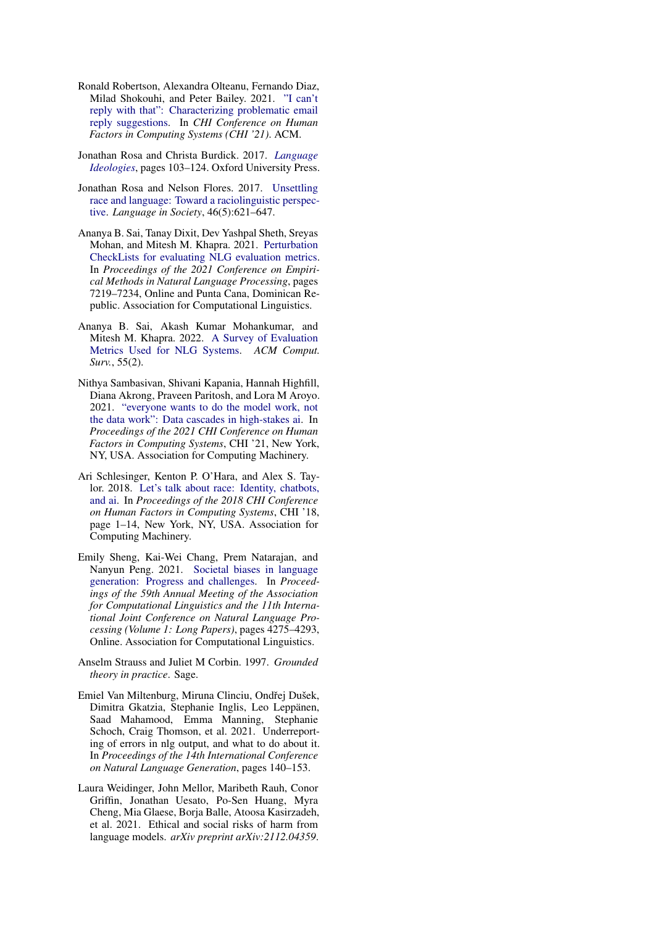- <span id="page-11-6"></span>Ronald Robertson, Alexandra Olteanu, Fernando Diaz, Milad Shokouhi, and Peter Bailey. 2021. ["I can't](https://www.microsoft.com/en-us/research/publication/i-cant-reply-with-that-characterizing-problematic-email-reply-suggestions/) [reply with that": Characterizing problematic email](https://www.microsoft.com/en-us/research/publication/i-cant-reply-with-that-characterizing-problematic-email-reply-suggestions/) [reply suggestions.](https://www.microsoft.com/en-us/research/publication/i-cant-reply-with-that-characterizing-problematic-email-reply-suggestions/) In *CHI Conference on Human Factors in Computing Systems (CHI '21)*. ACM.
- <span id="page-11-10"></span>Jonathan Rosa and Christa Burdick. 2017. *[Language](https://doi.org/10.1093/oxfordhb/9780190212896.013.15) [Ideologies](https://doi.org/10.1093/oxfordhb/9780190212896.013.15)*, pages 103–124. Oxford University Press.
- <span id="page-11-7"></span>Jonathan Rosa and Nelson Flores. 2017. [Unsettling](https://doi.org/10.1017/S0047404517000562) [race and language: Toward a raciolinguistic perspec](https://doi.org/10.1017/S0047404517000562)[tive.](https://doi.org/10.1017/S0047404517000562) *Language in Society*, 46(5):621–647.
- <span id="page-11-0"></span>Ananya B. Sai, Tanay Dixit, Dev Yashpal Sheth, Sreyas Mohan, and Mitesh M. Khapra. 2021. [Perturbation](https://doi.org/10.18653/v1/2021.emnlp-main.575) [CheckLists for evaluating NLG evaluation metrics.](https://doi.org/10.18653/v1/2021.emnlp-main.575) In *Proceedings of the 2021 Conference on Empirical Methods in Natural Language Processing*, pages 7219–7234, Online and Punta Cana, Dominican Republic. Association for Computational Linguistics.
- <span id="page-11-3"></span>Ananya B. Sai, Akash Kumar Mohankumar, and Mitesh M. Khapra. 2022. [A Survey of Evaluation](https://doi.org/10.1145/3485766) [Metrics Used for NLG Systems.](https://doi.org/10.1145/3485766) *ACM Comput. Surv.*, 55(2).
- <span id="page-11-9"></span>Nithya Sambasivan, Shivani Kapania, Hannah Highfill, Diana Akrong, Praveen Paritosh, and Lora M Aroyo. 2021. ["everyone wants to do the model work, not](https://doi.org/10.1145/3411764.3445518) [the data work": Data cascades in high-stakes ai.](https://doi.org/10.1145/3411764.3445518) In *Proceedings of the 2021 CHI Conference on Human Factors in Computing Systems*, CHI '21, New York, NY, USA. Association for Computing Machinery.
- <span id="page-11-1"></span>Ari Schlesinger, Kenton P. O'Hara, and Alex S. Taylor. 2018. [Let's talk about race: Identity, chatbots,](https://doi.org/10.1145/3173574.3173889) [and ai.](https://doi.org/10.1145/3173574.3173889) In *Proceedings of the 2018 CHI Conference on Human Factors in Computing Systems*, CHI '18, page 1–14, New York, NY, USA. Association for Computing Machinery.
- <span id="page-11-2"></span>Emily Sheng, Kai-Wei Chang, Prem Natarajan, and Nanyun Peng. 2021. [Societal biases in language](https://doi.org/10.18653/v1/2021.acl-long.330) [generation: Progress and challenges.](https://doi.org/10.18653/v1/2021.acl-long.330) In *Proceedings of the 59th Annual Meeting of the Association for Computational Linguistics and the 11th International Joint Conference on Natural Language Processing (Volume 1: Long Papers)*, pages 4275–4293, Online. Association for Computational Linguistics.
- <span id="page-11-5"></span>Anselm Strauss and Juliet M Corbin. 1997. *Grounded theory in practice*. Sage.
- <span id="page-11-8"></span>Emiel Van Miltenburg, Miruna Clinciu, Ondřej Dušek, Dimitra Gkatzia, Stephanie Inglis, Leo Leppänen, Saad Mahamood, Emma Manning, Stephanie Schoch, Craig Thomson, et al. 2021. Underreporting of errors in nlg output, and what to do about it. In *Proceedings of the 14th International Conference on Natural Language Generation*, pages 140–153.
- <span id="page-11-4"></span>Laura Weidinger, John Mellor, Maribeth Rauh, Conor Griffin, Jonathan Uesato, Po-Sen Huang, Myra Cheng, Mia Glaese, Borja Balle, Atoosa Kasirzadeh, et al. 2021. Ethical and social risks of harm from language models. *arXiv preprint arXiv:2112.04359*.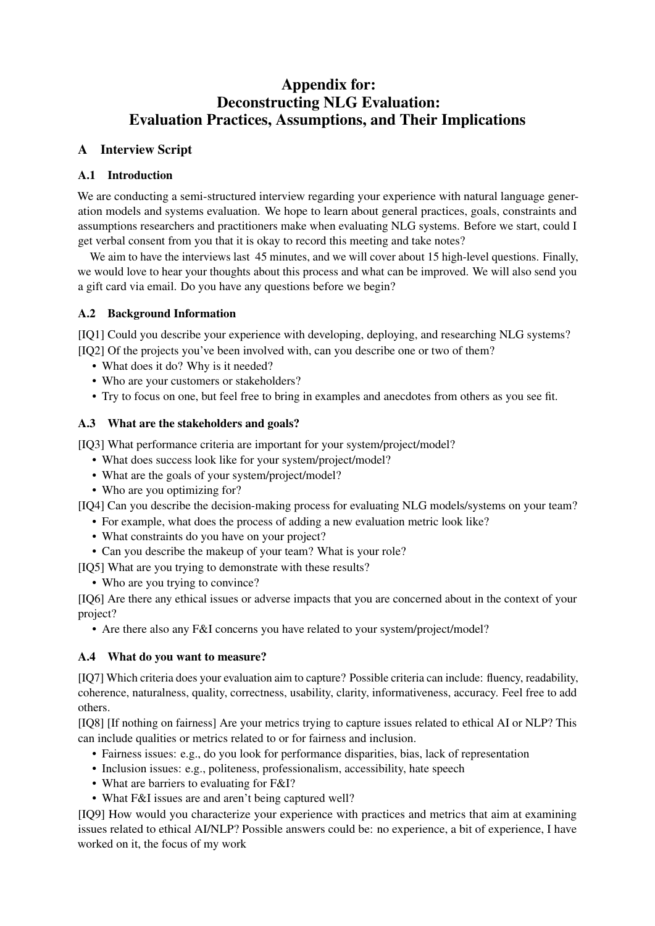# Appendix for: Deconstructing NLG Evaluation: Evaluation Practices, Assumptions, and Their Implications

## <span id="page-12-0"></span>A Interview Script

## A.1 Introduction

We are conducting a semi-structured interview regarding your experience with natural language generation models and systems evaluation. We hope to learn about general practices, goals, constraints and assumptions researchers and practitioners make when evaluating NLG systems. Before we start, could I get verbal consent from you that it is okay to record this meeting and take notes?

We aim to have the interviews last 45 minutes, and we will cover about 15 high-level questions. Finally, we would love to hear your thoughts about this process and what can be improved. We will also send you a gift card via email. Do you have any questions before we begin?

## A.2 Background Information

[IQ1] Could you describe your experience with developing, deploying, and researching NLG systems? [IQ2] Of the projects you've been involved with, can you describe one or two of them?

- What does it do? Why is it needed?
- Who are your customers or stakeholders?
- Try to focus on one, but feel free to bring in examples and anecdotes from others as you see fit.

## A.3 What are the stakeholders and goals?

[IQ3] What performance criteria are important for your system/project/model?

- What does success look like for your system/project/model?
- What are the goals of your system/project/model?
- Who are you optimizing for?

[IQ4] Can you describe the decision-making process for evaluating NLG models/systems on your team?

- For example, what does the process of adding a new evaluation metric look like?
- What constraints do you have on your project?
- Can you describe the makeup of your team? What is your role?

[IQ5] What are you trying to demonstrate with these results?

• Who are you trying to convince?

[IQ6] Are there any ethical issues or adverse impacts that you are concerned about in the context of your project?

• Are there also any F&I concerns you have related to your system/project/model?

## A.4 What do you want to measure?

[IQ7] Which criteria does your evaluation aim to capture? Possible criteria can include: fluency, readability, coherence, naturalness, quality, correctness, usability, clarity, informativeness, accuracy. Feel free to add others.

[IQ8] [If nothing on fairness] Are your metrics trying to capture issues related to ethical AI or NLP? This can include qualities or metrics related to or for fairness and inclusion.

- Fairness issues: e.g., do you look for performance disparities, bias, lack of representation
- Inclusion issues: e.g., politeness, professionalism, accessibility, hate speech
- What are barriers to evaluating for F&I?
- What F&I issues are and aren't being captured well?

[IQ9] How would you characterize your experience with practices and metrics that aim at examining issues related to ethical AI/NLP? Possible answers could be: no experience, a bit of experience, I have worked on it, the focus of my work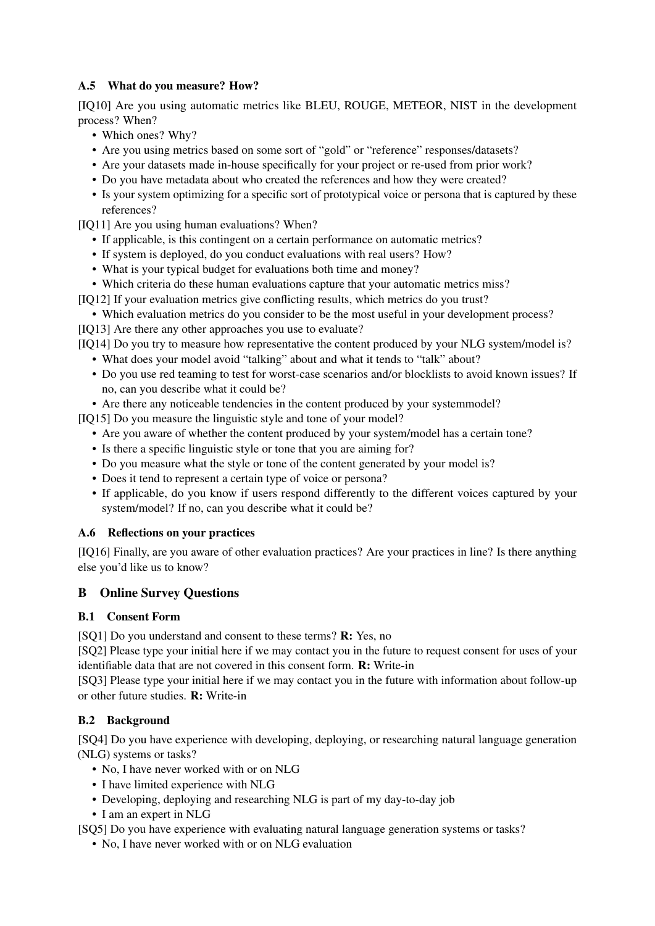## A.5 What do you measure? How?

[IQ10] Are you using automatic metrics like BLEU, ROUGE, METEOR, NIST in the development process? When?

- Which ones? Why?
- Are you using metrics based on some sort of "gold" or "reference" responses/datasets?
- Are your datasets made in-house specifically for your project or re-used from prior work?
- Do you have metadata about who created the references and how they were created?
- Is your system optimizing for a specific sort of prototypical voice or persona that is captured by these references?
- [IQ11] Are you using human evaluations? When?
	- If applicable, is this contingent on a certain performance on automatic metrics?
	- If system is deployed, do you conduct evaluations with real users? How?
	- What is your typical budget for evaluations both time and money?
	- Which criteria do these human evaluations capture that your automatic metrics miss?
- [IQ12] If your evaluation metrics give conflicting results, which metrics do you trust?
- Which evaluation metrics do you consider to be the most useful in your development process? [IQ13] Are there any other approaches you use to evaluate?

[IQ14] Do you try to measure how representative the content produced by your NLG system/model is? • What does your model avoid "talking" about and what it tends to "talk" about?

- Do you use red teaming to test for worst-case scenarios and/or blocklists to avoid known issues? If no, can you describe what it could be?
- Are there any noticeable tendencies in the content produced by your systemmodel?

[IQ15] Do you measure the linguistic style and tone of your model?

- Are you aware of whether the content produced by your system/model has a certain tone?
- Is there a specific linguistic style or tone that you are aiming for?
- Do you measure what the style or tone of the content generated by your model is?
- Does it tend to represent a certain type of voice or persona?
- If applicable, do you know if users respond differently to the different voices captured by your system/model? If no, can you describe what it could be?

## A.6 Reflections on your practices

[IQ16] Finally, are you aware of other evaluation practices? Are your practices in line? Is there anything else you'd like us to know?

## <span id="page-13-0"></span>B Online Survey Questions

## B.1 Consent Form

[SQ1] Do you understand and consent to these terms? R: Yes, no

[SQ2] Please type your initial here if we may contact you in the future to request consent for uses of your identifiable data that are not covered in this consent form. R: Write-in

[SQ3] Please type your initial here if we may contact you in the future with information about follow-up or other future studies. R: Write-in

## B.2 Background

[SQ4] Do you have experience with developing, deploying, or researching natural language generation (NLG) systems or tasks?

- No. I have never worked with or on NLG
- I have limited experience with NLG
- Developing, deploying and researching NLG is part of my day-to-day job
- I am an expert in NLG

[SQ5] Do you have experience with evaluating natural language generation systems or tasks?

• No. I have never worked with or on NLG evaluation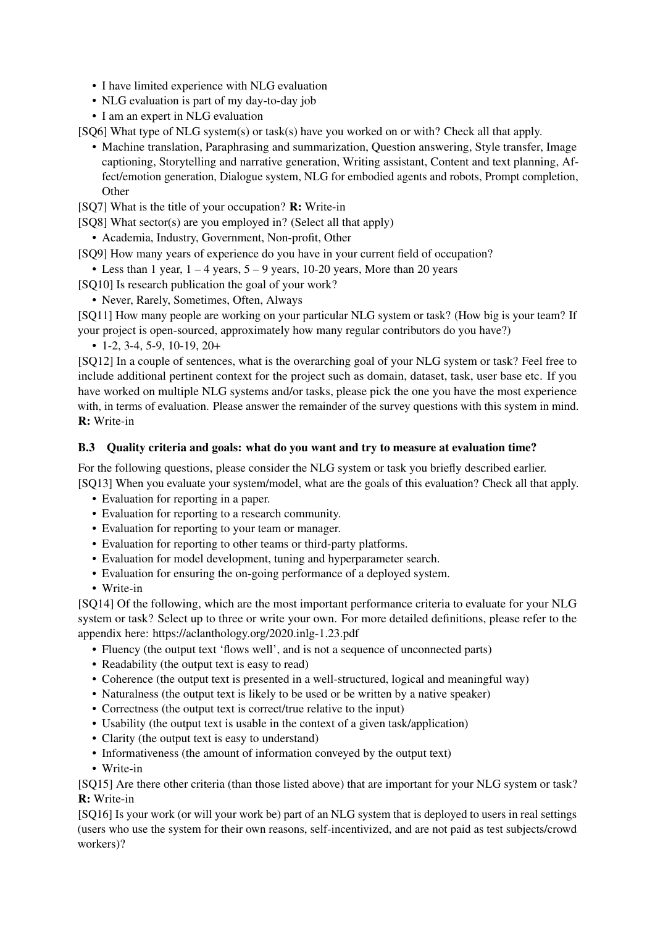- I have limited experience with NLG evaluation
- NLG evaluation is part of my day-to-day job
- I am an expert in NLG evaluation

[SQ6] What type of NLG system(s) or task(s) have you worked on or with? Check all that apply.

• Machine translation, Paraphrasing and summarization, Question answering, Style transfer, Image captioning, Storytelling and narrative generation, Writing assistant, Content and text planning, Affect/emotion generation, Dialogue system, NLG for embodied agents and robots, Prompt completion, **Other** 

[SQ7] What is the title of your occupation? R: Write-in

- [SQ8] What sector(s) are you employed in? (Select all that apply)
	- Academia, Industry, Government, Non-profit, Other

[SQ9] How many years of experience do you have in your current field of occupation?

- Less than 1 year,  $1 4$  years,  $5 9$  years, 10-20 years, More than 20 years
- [SQ10] Is research publication the goal of your work?
	- Never, Rarely, Sometimes, Often, Always

[SQ11] How many people are working on your particular NLG system or task? (How big is your team? If your project is open-sourced, approximately how many regular contributors do you have?)

 $\cdot$  1-2, 3-4, 5-9, 10-19, 20+

[SQ12] In a couple of sentences, what is the overarching goal of your NLG system or task? Feel free to include additional pertinent context for the project such as domain, dataset, task, user base etc. If you have worked on multiple NLG systems and/or tasks, please pick the one you have the most experience with, in terms of evaluation. Please answer the remainder of the survey questions with this system in mind. R: Write-in

### B.3 Quality criteria and goals: what do you want and try to measure at evaluation time?

For the following questions, please consider the NLG system or task you briefly described earlier. [SQ13] When you evaluate your system/model, what are the goals of this evaluation? Check all that apply.

- Evaluation for reporting in a paper.
- Evaluation for reporting to a research community.
- Evaluation for reporting to your team or manager.
- Evaluation for reporting to other teams or third-party platforms.
- Evaluation for model development, tuning and hyperparameter search.
- Evaluation for ensuring the on-going performance of a deployed system.
- Write-in

[SQ14] Of the following, which are the most important performance criteria to evaluate for your NLG system or task? Select up to three or write your own. For more detailed definitions, please refer to the appendix here: https://aclanthology.org/2020.inlg-1.23.pdf

- Fluency (the output text 'flows well', and is not a sequence of unconnected parts)
- Readability (the output text is easy to read)
- Coherence (the output text is presented in a well-structured, logical and meaningful way)
- Naturalness (the output text is likely to be used or be written by a native speaker)
- Correctness (the output text is correct/true relative to the input)
- Usability (the output text is usable in the context of a given task/application)
- Clarity (the output text is easy to understand)
- Informativeness (the amount of information conveyed by the output text)
- Write-in

[SQ15] Are there other criteria (than those listed above) that are important for your NLG system or task? R: Write-in

[SQ16] Is your work (or will your work be) part of an NLG system that is deployed to users in real settings (users who use the system for their own reasons, self-incentivized, and are not paid as test subjects/crowd workers)?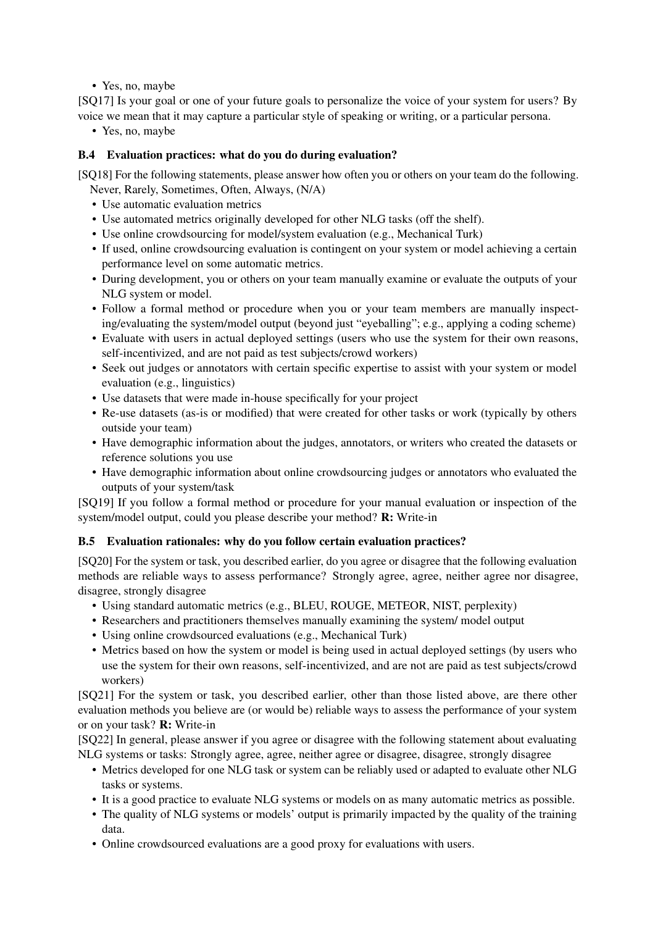• Yes, no, maybe

[SQ17] Is your goal or one of your future goals to personalize the voice of your system for users? By voice we mean that it may capture a particular style of speaking or writing, or a particular persona.

• Yes, no, maybe

### B.4 Evaluation practices: what do you do during evaluation?

[SQ18] For the following statements, please answer how often you or others on your team do the following. Never, Rarely, Sometimes, Often, Always, (N/A)

- Use automatic evaluation metrics
- Use automated metrics originally developed for other NLG tasks (off the shelf).
- Use online crowdsourcing for model/system evaluation (e.g., Mechanical Turk)
- If used, online crowdsourcing evaluation is contingent on your system or model achieving a certain performance level on some automatic metrics.
- During development, you or others on your team manually examine or evaluate the outputs of your NLG system or model.
- Follow a formal method or procedure when you or your team members are manually inspecting/evaluating the system/model output (beyond just "eyeballing"; e.g., applying a coding scheme)
- Evaluate with users in actual deployed settings (users who use the system for their own reasons, self-incentivized, and are not paid as test subjects/crowd workers)
- Seek out judges or annotators with certain specific expertise to assist with your system or model evaluation (e.g., linguistics)
- Use datasets that were made in-house specifically for your project
- Re-use datasets (as-is or modified) that were created for other tasks or work (typically by others outside your team)
- Have demographic information about the judges, annotators, or writers who created the datasets or reference solutions you use
- Have demographic information about online crowdsourcing judges or annotators who evaluated the outputs of your system/task

[SQ19] If you follow a formal method or procedure for your manual evaluation or inspection of the system/model output, could you please describe your method? R: Write-in

### B.5 Evaluation rationales: why do you follow certain evaluation practices?

[SQ20] For the system or task, you described earlier, do you agree or disagree that the following evaluation methods are reliable ways to assess performance? Strongly agree, agree, neither agree nor disagree, disagree, strongly disagree

- Using standard automatic metrics (e.g., BLEU, ROUGE, METEOR, NIST, perplexity)
- Researchers and practitioners themselves manually examining the system/ model output
- Using online crowdsourced evaluations (e.g., Mechanical Turk)
- Metrics based on how the system or model is being used in actual deployed settings (by users who use the system for their own reasons, self-incentivized, and are not are paid as test subjects/crowd workers)

[SQ21] For the system or task, you described earlier, other than those listed above, are there other evaluation methods you believe are (or would be) reliable ways to assess the performance of your system or on your task? R: Write-in

[SQ22] In general, please answer if you agree or disagree with the following statement about evaluating NLG systems or tasks: Strongly agree, agree, neither agree or disagree, disagree, strongly disagree

- Metrics developed for one NLG task or system can be reliably used or adapted to evaluate other NLG tasks or systems.
- It is a good practice to evaluate NLG systems or models on as many automatic metrics as possible.
- The quality of NLG systems or models' output is primarily impacted by the quality of the training data.
- Online crowdsourced evaluations are a good proxy for evaluations with users.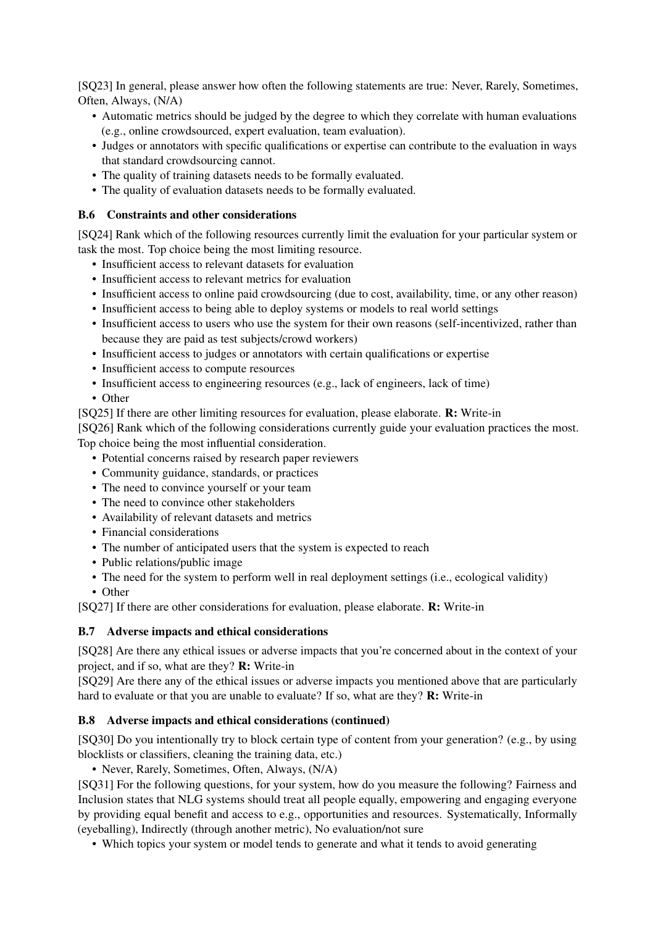[SQ23] In general, please answer how often the following statements are true: Never, Rarely, Sometimes, Often, Always, (N/A)

- Automatic metrics should be judged by the degree to which they correlate with human evaluations (e.g., online crowdsourced, expert evaluation, team evaluation).
- Judges or annotators with specific qualifications or expertise can contribute to the evaluation in ways that standard crowdsourcing cannot.
- The quality of training datasets needs to be formally evaluated.
- The quality of evaluation datasets needs to be formally evaluated.

### B.6 Constraints and other considerations

[SQ24] Rank which of the following resources currently limit the evaluation for your particular system or task the most. Top choice being the most limiting resource.

- Insufficient access to relevant datasets for evaluation
- Insufficient access to relevant metrics for evaluation
- Insufficient access to online paid crowdsourcing (due to cost, availability, time, or any other reason)
- Insufficient access to being able to deploy systems or models to real world settings
- Insufficient access to users who use the system for their own reasons (self-incentivized, rather than because they are paid as test subjects/crowd workers)
- Insufficient access to judges or annotators with certain qualifications or expertise
- Insufficient access to compute resources
- Insufficient access to engineering resources (e.g., lack of engineers, lack of time)
- Other

[SQ25] If there are other limiting resources for evaluation, please elaborate. R: Write-in

[SQ26] Rank which of the following considerations currently guide your evaluation practices the most. Top choice being the most influential consideration.

- Potential concerns raised by research paper reviewers
- Community guidance, standards, or practices
- The need to convince yourself or your team
- The need to convince other stakeholders
- Availability of relevant datasets and metrics
- Financial considerations
- The number of anticipated users that the system is expected to reach
- Public relations/public image
- The need for the system to perform well in real deployment settings (i.e., ecological validity)
- Other

[SQ27] If there are other considerations for evaluation, please elaborate. R: Write-in

### B.7 Adverse impacts and ethical considerations

[SQ28] Are there any ethical issues or adverse impacts that you're concerned about in the context of your project, and if so, what are they? R: Write-in

[SQ29] Are there any of the ethical issues or adverse impacts you mentioned above that are particularly hard to evaluate or that you are unable to evaluate? If so, what are they? R: Write-in

## B.8 Adverse impacts and ethical considerations (continued)

[SQ30] Do you intentionally try to block certain type of content from your generation? (e.g., by using blocklists or classifiers, cleaning the training data, etc.)

• Never, Rarely, Sometimes, Often, Always, (N/A)

[SQ31] For the following questions, for your system, how do you measure the following? Fairness and Inclusion states that NLG systems should treat all people equally, empowering and engaging everyone by providing equal benefit and access to e.g., opportunities and resources. Systematically, Informally (eyeballing), Indirectly (through another metric), No evaluation/not sure

• Which topics your system or model tends to generate and what it tends to avoid generating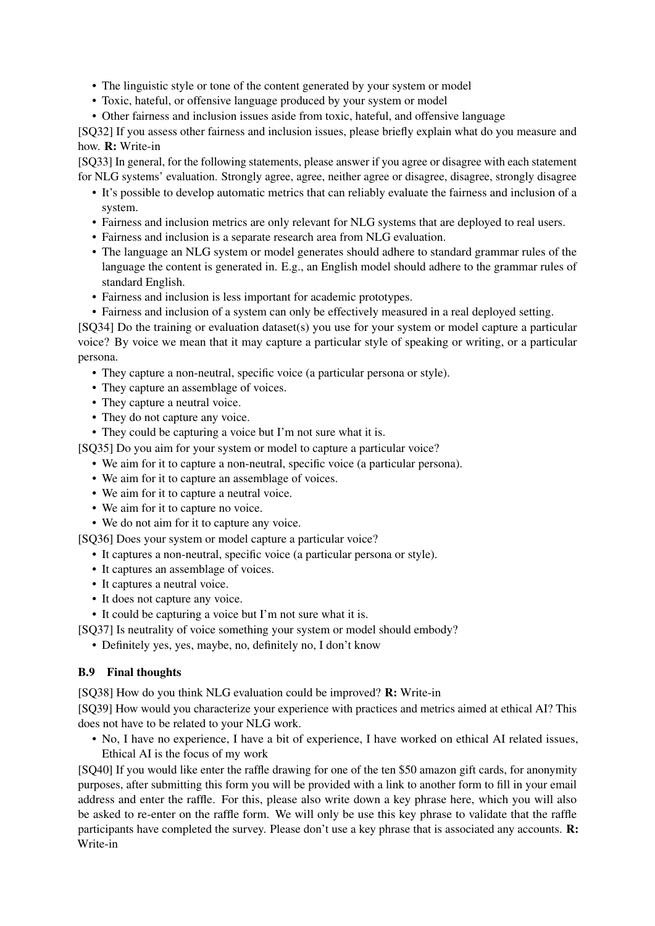- The linguistic style or tone of the content generated by your system or model
- Toxic, hateful, or offensive language produced by your system or model
- Other fairness and inclusion issues aside from toxic, hateful, and offensive language

[SQ32] If you assess other fairness and inclusion issues, please briefly explain what do you measure and how. R: Write-in

[SQ33] In general, for the following statements, please answer if you agree or disagree with each statement for NLG systems' evaluation. Strongly agree, agree, neither agree or disagree, disagree, strongly disagree

- It's possible to develop automatic metrics that can reliably evaluate the fairness and inclusion of a system.
- Fairness and inclusion metrics are only relevant for NLG systems that are deployed to real users.
- Fairness and inclusion is a separate research area from NLG evaluation.
- The language an NLG system or model generates should adhere to standard grammar rules of the language the content is generated in. E.g., an English model should adhere to the grammar rules of standard English.
- Fairness and inclusion is less important for academic prototypes.
- Fairness and inclusion of a system can only be effectively measured in a real deployed setting.

[SQ34] Do the training or evaluation dataset(s) you use for your system or model capture a particular voice? By voice we mean that it may capture a particular style of speaking or writing, or a particular persona.

- They capture a non-neutral, specific voice (a particular persona or style).
- They capture an assemblage of voices.
- They capture a neutral voice.
- They do not capture any voice.
- They could be capturing a voice but I'm not sure what it is.

[SQ35] Do you aim for your system or model to capture a particular voice?

- We aim for it to capture a non-neutral, specific voice (a particular persona).
- We aim for it to capture an assemblage of voices.
- We aim for it to capture a neutral voice.
- We aim for it to capture no voice.
- We do not aim for it to capture any voice.

[SQ36] Does your system or model capture a particular voice?

- It captures a non-neutral, specific voice (a particular persona or style).
- It captures an assemblage of voices.
- It captures a neutral voice.
- It does not capture any voice.
- It could be capturing a voice but I'm not sure what it is.

[SQ37] Is neutrality of voice something your system or model should embody?

• Definitely yes, yes, maybe, no, definitely no, I don't know

### B.9 Final thoughts

[SQ38] How do you think NLG evaluation could be improved? R: Write-in

[SQ39] How would you characterize your experience with practices and metrics aimed at ethical AI? This does not have to be related to your NLG work.

• No, I have no experience, I have a bit of experience, I have worked on ethical AI related issues, Ethical AI is the focus of my work

[SQ40] If you would like enter the raffle drawing for one of the ten \$50 amazon gift cards, for anonymity purposes, after submitting this form you will be provided with a link to another form to fill in your email address and enter the raffle. For this, please also write down a key phrase here, which you will also be asked to re-enter on the raffle form. We will only be use this key phrase to validate that the raffle participants have completed the survey. Please don't use a key phrase that is associated any accounts. R: Write-in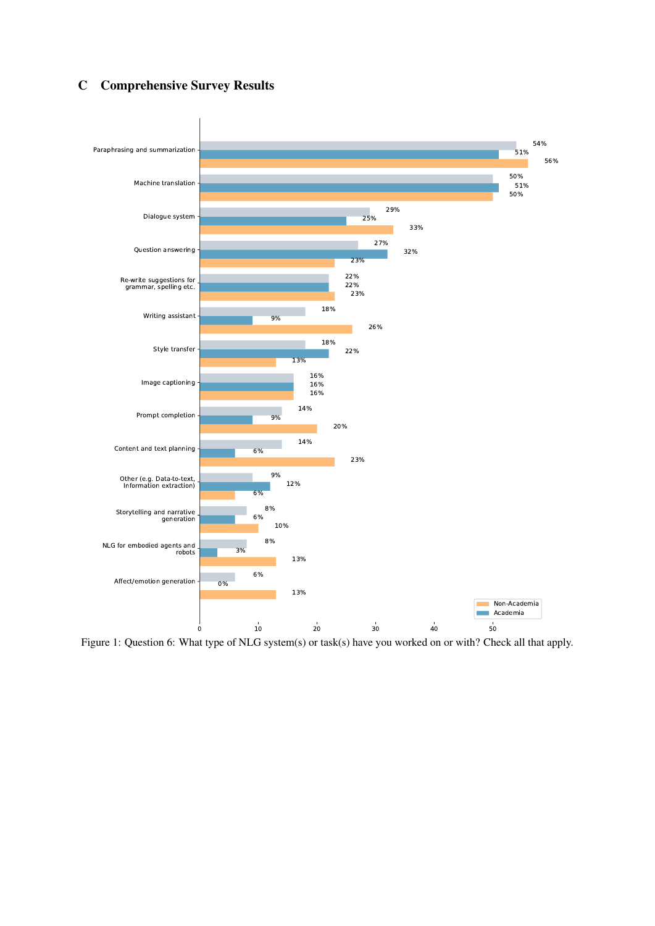## C Comprehensive Survey Results



Figure 1: Question 6: What type of NLG system(s) or task(s) have you worked on or with? Check all that apply.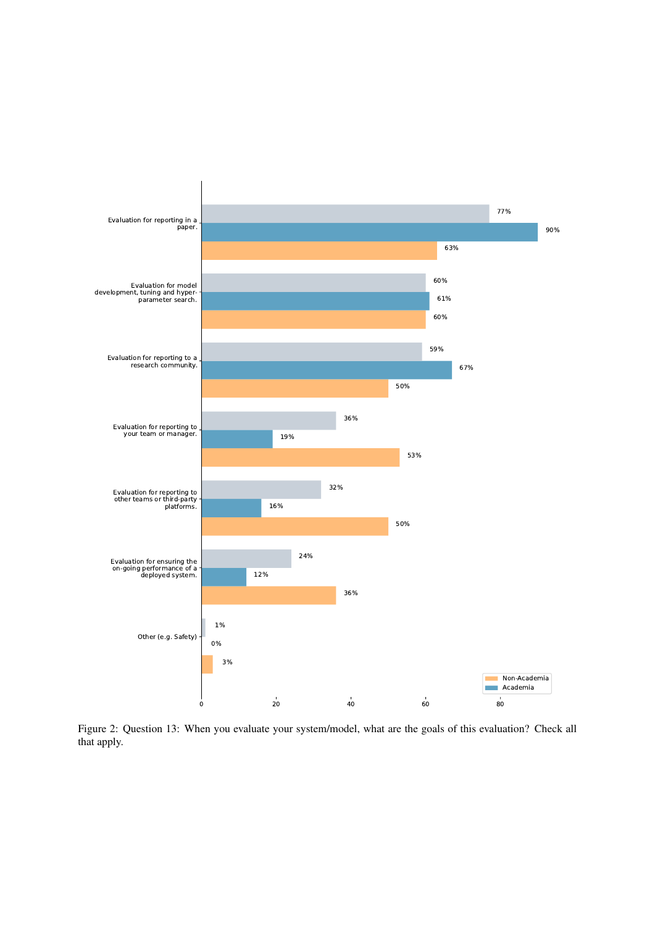

Figure 2: Question 13: When you evaluate your system/model, what are the goals of this evaluation? Check all that apply.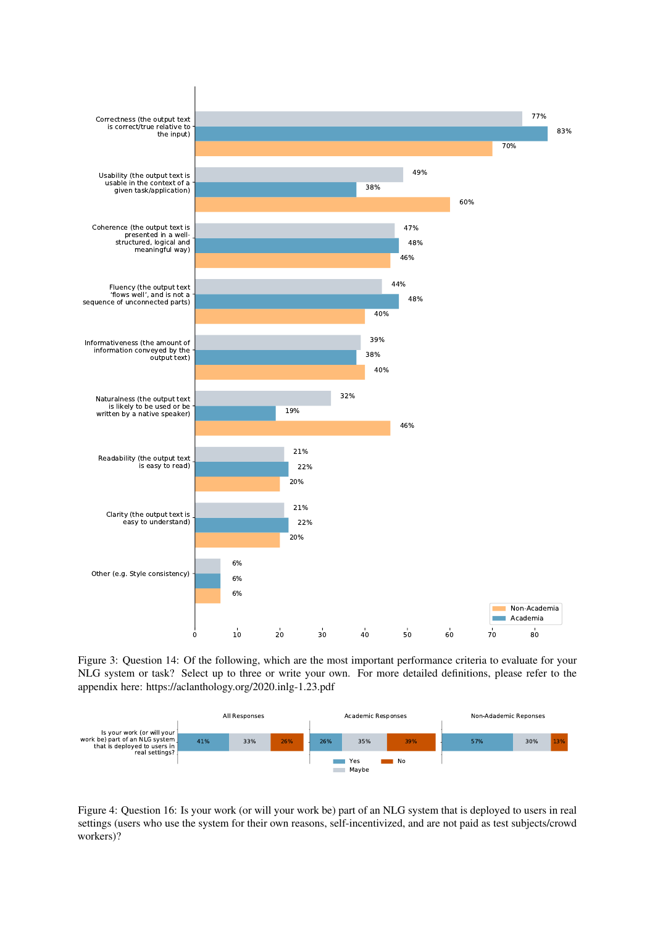

Figure 3: Question 14: Of the following, which are the most important performance criteria to evaluate for your NLG system or task? Select up to three or write your own. For more detailed definitions, please refer to the appendix here: https://aclanthology.org/2020.inlg-1.23.pdf



Figure 4: Question 16: Is your work (or will your work be) part of an NLG system that is deployed to users in real settings (users who use the system for their own reasons, self-incentivized, and are not paid as test subjects/crowd workers)?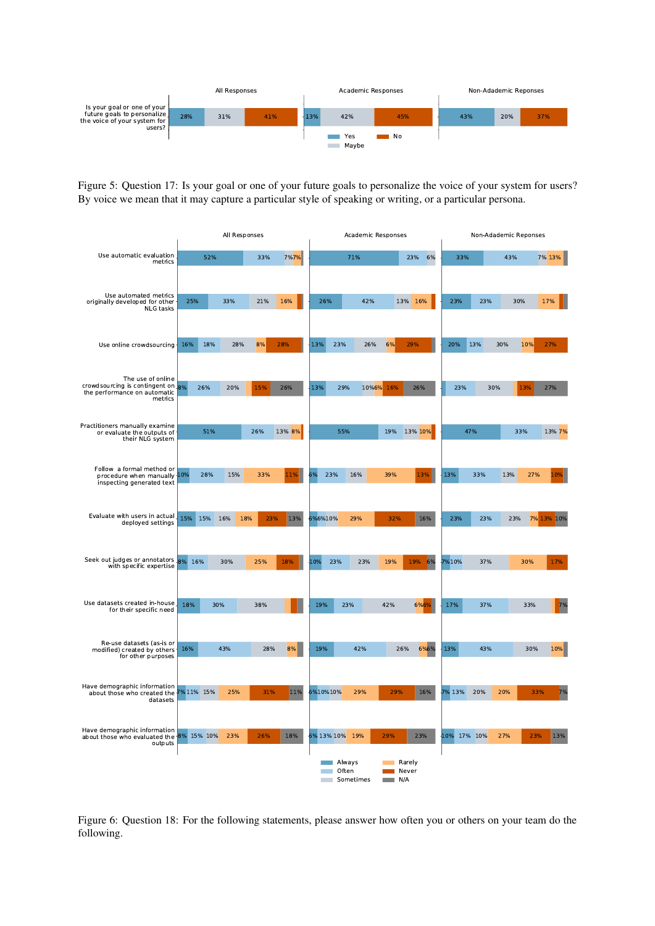

Figure 5: Question 17: Is your goal or one of your future goals to personalize the voice of your system for users? By voice we mean that it may capture a particular style of speaking or writing, or a particular persona.

|                                                                                                   | All Responses |            |     |        | Academic Responses           |                          |           |     | Non-Adademic Reponses |             |     |            |               |
|---------------------------------------------------------------------------------------------------|---------------|------------|-----|--------|------------------------------|--------------------------|-----------|-----|-----------------------|-------------|-----|------------|---------------|
| Use automatic evaluation<br>metrics                                                               |               | 52%        | 33% | 7%7%   |                              | 71%                      |           |     | 23%<br>6%             | 33%         |     | 43%        | 7% 13%        |
| Use automated metrics<br>originally developed for other<br>NLG tasks                              | 25%           | 33%        | 21% | 16%    | 26%                          |                          | 42%       |     | 13% 16%               | 23%         | 23% | 30%        | 17%           |
| Use online crowdsourcing-                                                                         | 16%           | 18%<br>28% | 8%  | 28%    | 13%                          | 23%                      | 26%       | 6%  | 29%                   | 20%         | 13% | 10%<br>30% | 27%           |
| The use of online<br>crowdsourcing is contingent on 8%<br>the performance on automatic<br>metrics | 26%           | 20%        | 15% | 26%    | 13%                          | 29%                      | 10%6% 16% |     | 26%                   | 23%         | 30% | 13%        | 27%           |
| Practitioners manually examine<br>or evaluate the outputs of<br>their NLG system                  |               | 51%        | 26% | 13% 8% |                              | 55%                      |           | 19% | 13% 10%               |             | 47% | 33%        | 13% 7%        |
| Follow a formal method or<br>procedure when manually 10%<br>inspecting generated text             | 28%           | 15%        | 33% | 11%    |                              | 23%<br>16%               |           | 39% | 13%                   | 13%         | 33% | 13%        | 27%<br>10%    |
| Evaluate with users in actual<br>deployed settings                                                | 15%<br>15%    | 18%<br>16% | 23% | 13%    | 6%6%10%                      | 29%                      |           | 32% | 16%                   | 23%         | 23% | 23%        | 7% 13%<br>10% |
| Seek out judges or annotators 8%<br>with specific expertise                                       | 16%           | 30%        | 25% | 18%    | 10%                          | 23%                      | 23%       | 19% | 6%<br>19%             | 7%10%       | 37% | 30%        | 17%           |
| Use datasets created in-house<br>for their specific need                                          | 18%           | 30%        | 38% |        | 19%                          | 23%                      |           | 42% | 6%6%                  | 17%         | 37% | 33%        | 7%            |
| Re-use datasets (as-is or<br>modified) created by others<br>for other purposes                    | 16%           | 43%        | 28% | 8%     | 19%                          |                          | 42%       | 26% | 6%6%                  | 13%         | 43% | 30%        | 10%           |
| Have demographic information<br>about those who created the 7% 11% 15%<br>datasets                |               | 25%        | 31% | 11%    | 6%10%10%                     |                          | 29%       | 29% | 16%                   | 7% 13%      | 20% | 20%        | 33%<br>7%     |
| Have demographic information<br>about those who evaluated the 8% 15% 10%<br>outputs               |               | 23%        | 26% | 18%    |                              | 6% 13% 10% 19%<br>Always |           | 29% | 23%<br>Rarely         | 10% 17% 10% |     | 27%        | 23%<br>13%    |
|                                                                                                   |               |            |     |        | <b>Contract</b><br>$\sim 10$ | Often<br>Sometimes       |           | N/A | Never                 |             |     |            |               |

Figure 6: Question 18: For the following statements, please answer how often you or others on your team do the following.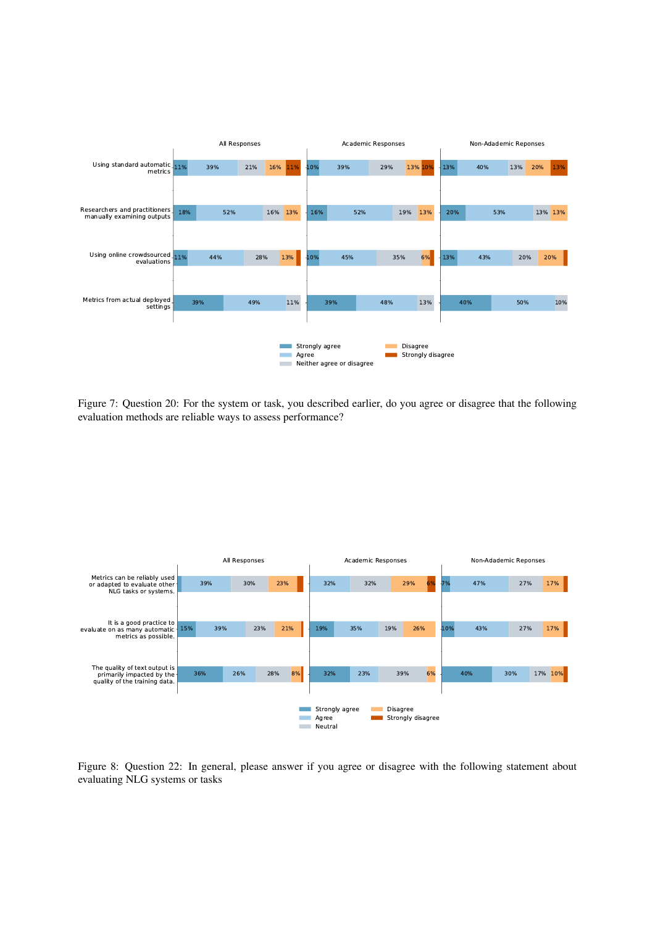

Figure 7: Question 20: For the system or task, you described earlier, do you agree or disagree that the following evaluation methods are reliable ways to assess performance?



Figure 8: Question 22: In general, please answer if you agree or disagree with the following statement about evaluating NLG systems or tasks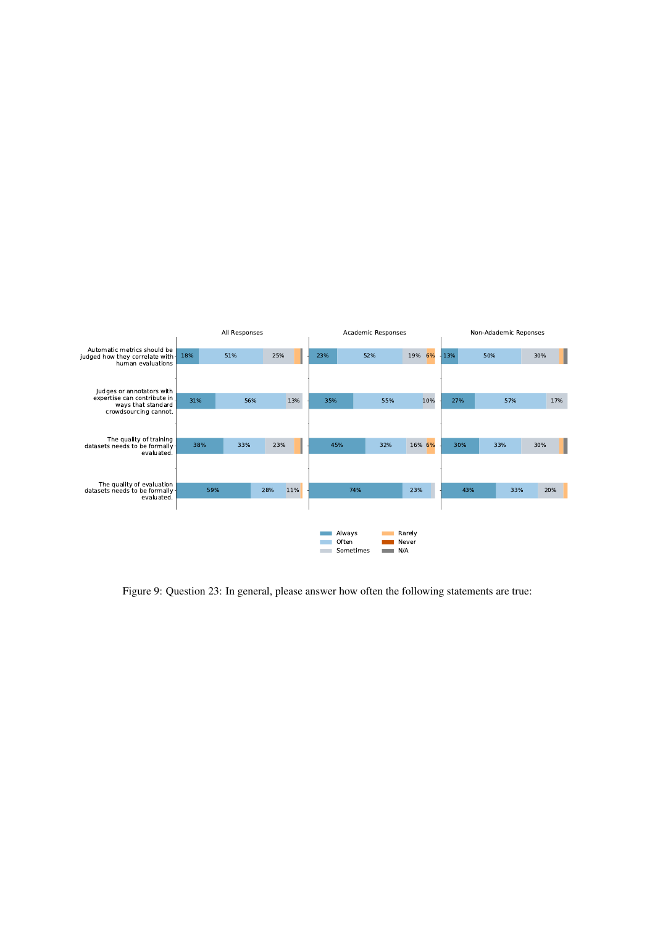

Figure 9: Question 23: In general, please answer how often the following statements are true: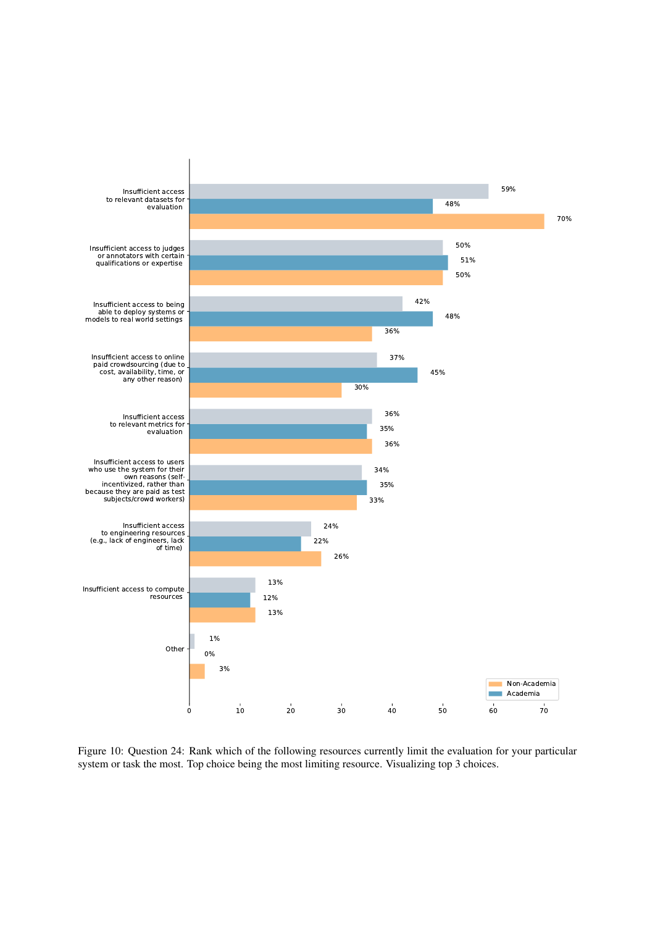

Figure 10: Question 24: Rank which of the following resources currently limit the evaluation for your particular system or task the most. Top choice being the most limiting resource. Visualizing top 3 choices.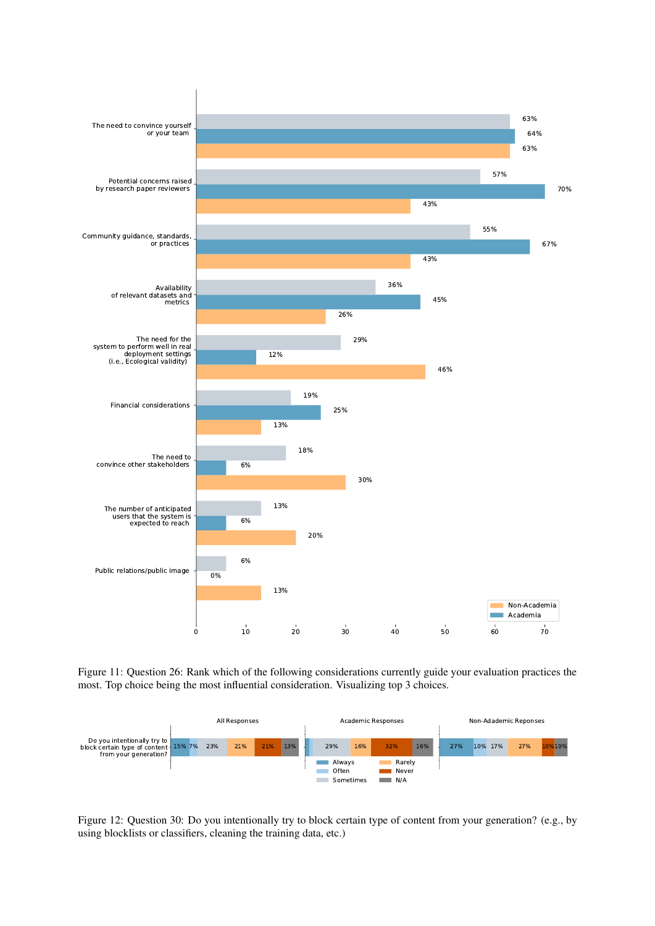

Figure 11: Question 26: Rank which of the following considerations currently guide your evaluation practices the most. Top choice being the most influential consideration. Visualizing top 3 choices.



Figure 12: Question 30: Do you intentionally try to block certain type of content from your generation? (e.g., by using blocklists or classifiers, cleaning the training data, etc.)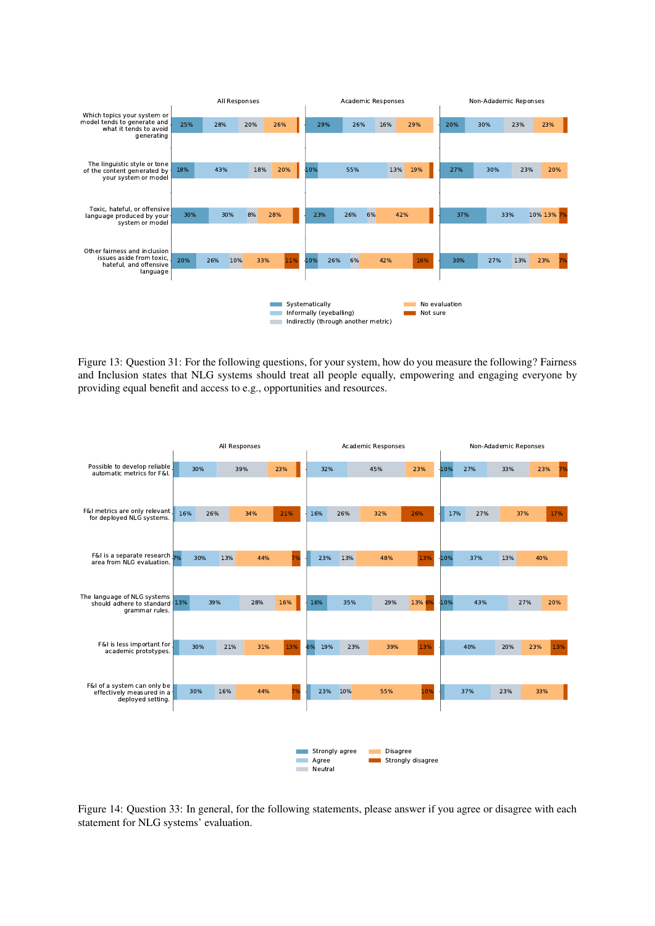

Figure 13: Question 31: For the following questions, for your system, how do you measure the following? Fairness and Inclusion states that NLG systems should treat all people equally, empowering and engaging everyone by providing equal benefit and access to e.g., opportunities and resources.



Figure 14: Question 33: In general, for the following statements, please answer if you agree or disagree with each statement for NLG systems' evaluation.